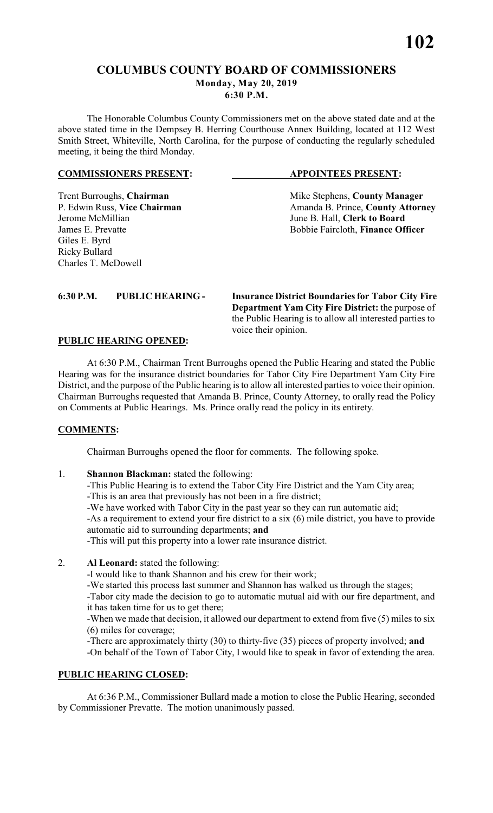# **COLUMBUS COUNTY BOARD OF COMMISSIONERS Monday, May 20, 2019**

**6:30 P.M.**

The Honorable Columbus County Commissioners met on the above stated date and at the above stated time in the Dempsey B. Herring Courthouse Annex Building, located at 112 West Smith Street, Whiteville, North Carolina, for the purpose of conducting the regularly scheduled meeting, it being the third Monday.

#### **COMMISSIONERS PRESENT: APPOINTEES PRESENT:**

Giles E. Byrd Ricky Bullard Charles T. McDowell

Trent Burroughs, **Chairman** Mike Stephens, **County Manager** P. Edwin Russ, Vice Chairman Manager Amanda B. Prince, **County Attorn** P. Edwin Russ, **Vice Chairman** Amanda B. Prince, **County Attorney**<br>Jerome McMillian June B. Hall. Clerk to Board June B. Hall, **Clerk to Board** James E. Prevatte **Bobbie Faircloth**, **Finance Officer** 

**6:30 P.M. PUBLIC HEARING - Insurance District Boundaries for Tabor City Fire Department Yam City Fire District:** the purpose of the Public Hearing is to allow all interested parties to voice their opinion.

## **PUBLIC HEARING OPENED:**

At 6:30 P.M., Chairman Trent Burroughs opened the Public Hearing and stated the Public Hearing was for the insurance district boundaries for Tabor City Fire Department Yam City Fire District, and the purpose of the Public hearing is to allow all interested parties to voice their opinion. Chairman Burroughs requested that Amanda B. Prince, County Attorney, to orally read the Policy on Comments at Public Hearings. Ms. Prince orally read the policy in its entirety.

### **COMMENTS:**

Chairman Burroughs opened the floor for comments. The following spoke.

- 1. **Shannon Blackman:** stated the following:
	- -This Public Hearing is to extend the Tabor City Fire District and the Yam City area; -This is an area that previously has not been in a fire district;
	-

-We have worked with Tabor City in the past year so they can run automatic aid; -As a requirement to extend your fire district to a six (6) mile district, you have to provide automatic aid to surrounding departments; **and**

-This will put this property into a lower rate insurance district.

# 2. **Al Leonard:** stated the following:

-I would like to thank Shannon and his crew for their work;

-We started this process last summer and Shannon has walked us through the stages;

-Tabor city made the decision to go to automatic mutual aid with our fire department, and it has taken time for us to get there;

-When we made that decision, it allowed our department to extend from five (5) miles to six (6) miles for coverage;

-There are approximately thirty (30) to thirty-five (35) pieces of property involved; **and** -On behalf of the Town of Tabor City, I would like to speak in favor of extending the area.

# **PUBLIC HEARING CLOSED:**

At 6:36 P.M., Commissioner Bullard made a motion to close the Public Hearing, seconded by Commissioner Prevatte. The motion unanimously passed.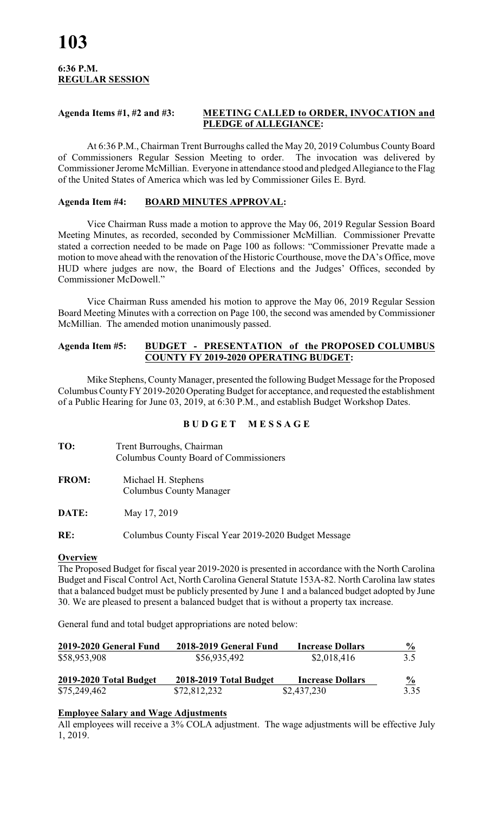**6:36 P.M. REGULAR SESSION**

#### **Agenda Items #1, #2 and #3: MEETING CALLED to ORDER, INVOCATION and PLEDGE of ALLEGIANCE:**

At 6:36 P.M., Chairman Trent Burroughs called the May 20, 2019 Columbus County Board of Commissioners Regular Session Meeting to order. The invocation was delivered by Commissioner Jerome McMillian. Everyone in attendance stood and pledged Allegiance to the Flag of the United States of America which was led by Commissioner Giles E. Byrd.

### **Agenda Item #4: BOARD MINUTES APPROVAL:**

Vice Chairman Russ made a motion to approve the May 06, 2019 Regular Session Board Meeting Minutes, as recorded, seconded by Commissioner McMillian. Commissioner Prevatte stated a correction needed to be made on Page 100 as follows: "Commissioner Prevatte made a motion to move ahead with the renovation of the Historic Courthouse, move the DA's Office, move HUD where judges are now, the Board of Elections and the Judges' Offices, seconded by Commissioner McDowell."

Vice Chairman Russ amended his motion to approve the May 06, 2019 Regular Session Board Meeting Minutes with a correction on Page 100, the second was amended by Commissioner McMillian. The amended motion unanimously passed.

#### **Agenda Item #5: BUDGET - PRESENTATION of the PROPOSED COLUMBUS COUNTY FY 2019-2020 OPERATING BUDGET:**

Mike Stephens, County Manager, presented the following Budget Message for the Proposed Columbus County FY 2019-2020 Operating Budget for acceptance, and requested the establishment of a Public Hearing for June 03, 2019, at 6:30 P.M., and establish Budget Workshop Dates.

# **B U D G E T M E S S A G E**

| TO:          | Trent Burroughs, Chairman<br>Columbus County Board of Commissioners |  |
|--------------|---------------------------------------------------------------------|--|
| <b>FROM:</b> | Michael H. Stephens<br>Columbus County Manager                      |  |
| <b>DATE:</b> | May 17, 2019                                                        |  |

**RE:** Columbus County Fiscal Year 2019-2020 Budget Message

#### **Overview**

The Proposed Budget for fiscal year 2019-2020 is presented in accordance with the North Carolina Budget and Fiscal Control Act, North Carolina General Statute 153A-82. North Carolina law states that a balanced budget must be publicly presented by June 1 and a balanced budget adopted by June 30. We are pleased to present a balanced budget that is without a property tax increase.

General fund and total budget appropriations are noted below:

| 2019-2020 General Fund | 2018-2019 General Fund | <b>Increase Dollars</b> | $\frac{6}{9}$ |
|------------------------|------------------------|-------------------------|---------------|
| \$58,953,908           | \$56,935,492           | \$2,018,416             | 3.5           |
| 2019-2020 Total Budget | 2018-2019 Total Budget | <b>Increase Dollars</b> | $\frac{0}{0}$ |
| \$75,249,462           | \$72,812,232           | \$2,437,230             | 3.35          |

### **Employee Salary and Wage Adjustments**

All employees will receive a 3% COLA adjustment. The wage adjustments will be effective July 1, 2019.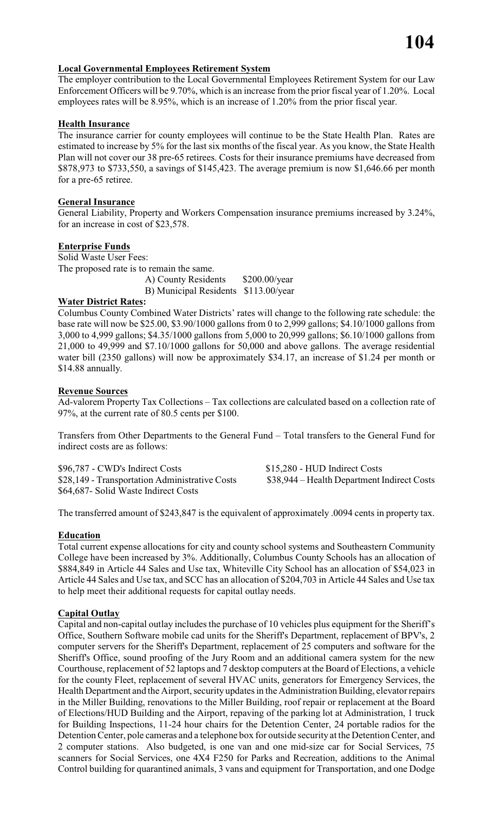#### **Local Governmental Employees Retirement System**

The employer contribution to the Local Governmental Employees Retirement System for our Law Enforcement Officers will be 9.70%, which is an increase from the prior fiscal year of 1.20%. Local employees rates will be 8.95%, which is an increase of 1.20% from the prior fiscal year.

#### **Health Insurance**

The insurance carrier for county employees will continue to be the State Health Plan. Rates are estimated to increase by 5% for the last six months of the fiscal year. As you know, the State Health Plan will not cover our 38 pre-65 retirees. Costs for their insurance premiums have decreased from \$878,973 to \$733,550, a savings of \$145,423. The average premium is now \$1,646.66 per month for a pre-65 retiree.

#### **General Insurance**

General Liability, Property and Workers Compensation insurance premiums increased by 3.24%, for an increase in cost of \$23,578.

#### **Enterprise Funds**

Solid Waste User Fees: The proposed rate is to remain the same. A) County Residents \$200.00/year B) Municipal Residents \$113.00/year

# **Water District Rates:**

Columbus County Combined Water Districts' rates will change to the following rate schedule: the base rate will now be \$25.00, \$3.90/1000 gallons from 0 to 2,999 gallons; \$4.10/1000 gallons from 3,000 to 4,999 gallons; \$4.35/1000 gallons from 5,000 to 20,999 gallons; \$6.10/1000 gallons from 21,000 to 49,999 and \$7.10/1000 gallons for 50,000 and above gallons. The average residential water bill (2350 gallons) will now be approximately \$34.17, an increase of \$1.24 per month or \$14.88 annually.

#### **Revenue Sources**

Ad-valorem Property Tax Collections – Tax collections are calculated based on a collection rate of 97%, at the current rate of 80.5 cents per \$100.

Transfers from Other Departments to the General Fund – Total transfers to the General Fund for indirect costs are as follows:

\$96,787 - CWD's Indirect Costs \$15,280 - HUD Indirect Costs \$28,149 - Transportation Administrative Costs \$38,944 – Health Department Indirect Costs \$64,687- Solid Waste Indirect Costs

The transferred amount of \$243,847 is the equivalent of approximately .0094 cents in property tax.

#### **Education**

Total current expense allocations for city and county school systems and Southeastern Community College have been increased by 3%. Additionally, Columbus County Schools has an allocation of \$884,849 in Article 44 Sales and Use tax, Whiteville City School has an allocation of \$54,023 in Article 44 Sales and Use tax, and SCC has an allocation of \$204,703 in Article 44 Sales and Use tax to help meet their additional requests for capital outlay needs.

### **Capital Outlay**

Capital and non-capital outlay includes the purchase of 10 vehicles plus equipment for the Sheriff's Office, Southern Software mobile cad units for the Sheriff's Department, replacement of BPV's, 2 computer servers for the Sheriff's Department, replacement of 25 computers and software for the Sheriff's Office, sound proofing of the Jury Room and an additional camera system for the new Courthouse, replacement of 52 laptops and 7 desktop computers at the Board of Elections, a vehicle for the county Fleet, replacement of several HVAC units, generators for Emergency Services, the Health Department and the Airport, security updates in the Administration Building, elevator repairs in the Miller Building, renovations to the Miller Building, roof repair or replacement at the Board of Elections/HUD Building and the Airport, repaving of the parking lot at Administration, 1 truck for Building Inspections, 11-24 hour chairs for the Detention Center, 24 portable radios for the Detention Center, pole cameras and a telephone box for outside security at the Detention Center, and 2 computer stations. Also budgeted, is one van and one mid-size car for Social Services, 75 scanners for Social Services, one 4X4 F250 for Parks and Recreation, additions to the Animal Control building for quarantined animals, 3 vans and equipment for Transportation, and one Dodge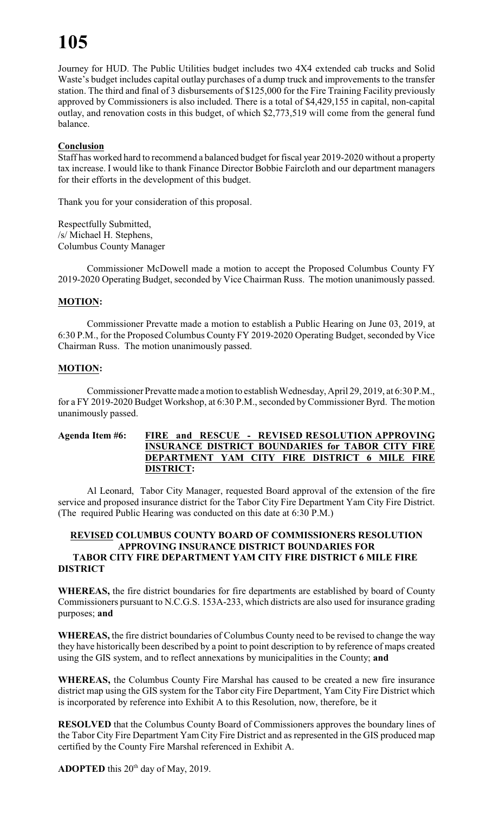Journey for HUD. The Public Utilities budget includes two 4X4 extended cab trucks and Solid Waste's budget includes capital outlay purchases of a dump truck and improvements to the transfer station. The third and final of 3 disbursements of \$125,000 for the Fire Training Facility previously approved by Commissioners is also included. There is a total of \$4,429,155 in capital, non-capital outlay, and renovation costs in this budget, of which \$2,773,519 will come from the general fund balance.

### **Conclusion**

Staff has worked hard to recommend a balanced budget for fiscal year 2019-2020 without a property tax increase. I would like to thank Finance Director Bobbie Faircloth and our department managers for their efforts in the development of this budget.

Thank you for your consideration of this proposal.

Respectfully Submitted, /s/ Michael H. Stephens, Columbus County Manager

Commissioner McDowell made a motion to accept the Proposed Columbus County FY 2019-2020 Operating Budget, seconded by Vice Chairman Russ. The motion unanimously passed.

## **MOTION:**

Commissioner Prevatte made a motion to establish a Public Hearing on June 03, 2019, at 6:30 P.M., for the Proposed Columbus County FY 2019-2020 Operating Budget, seconded by Vice Chairman Russ. The motion unanimously passed.

## **MOTION:**

Commissioner Prevatte made a motion to establish Wednesday, April 29, 2019, at 6:30 P.M., for a FY 2019-2020 Budget Workshop, at 6:30 P.M., seconded by Commissioner Byrd. The motion unanimously passed.

#### **Agenda Item #6: FIRE and RESCUE - REVISED RESOLUTION APPROVING INSURANCE DISTRICT BOUNDARIES for TABOR CITY FIRE DEPARTMENT YAM CITY FIRE DISTRICT 6 MILE FIRE DISTRICT:**

Al Leonard, Tabor City Manager, requested Board approval of the extension of the fire service and proposed insurance district for the Tabor City Fire Department Yam City Fire District. (The required Public Hearing was conducted on this date at 6:30 P.M.)

### **REVISED COLUMBUS COUNTY BOARD OF COMMISSIONERS RESOLUTION APPROVING INSURANCE DISTRICT BOUNDARIES FOR TABOR CITY FIRE DEPARTMENT YAM CITY FIRE DISTRICT 6 MILE FIRE DISTRICT**

**WHEREAS,** the fire district boundaries for fire departments are established by board of County Commissioners pursuant to N.C.G.S. 153A-233, which districts are also used for insurance grading purposes; **and**

**WHEREAS,** the fire district boundaries of Columbus County need to be revised to change the way they have historically been described by a point to point description to by reference of maps created using the GIS system, and to reflect annexations by municipalities in the County; **and**

**WHEREAS,** the Columbus County Fire Marshal has caused to be created a new fire insurance district map using the GIS system for the Tabor city Fire Department, Yam City Fire District which is incorporated by reference into Exhibit A to this Resolution, now, therefore, be it

**RESOLVED** that the Columbus County Board of Commissioners approves the boundary lines of the Tabor City Fire Department Yam City Fire District and as represented in the GIS produced map certified by the County Fire Marshal referenced in Exhibit A.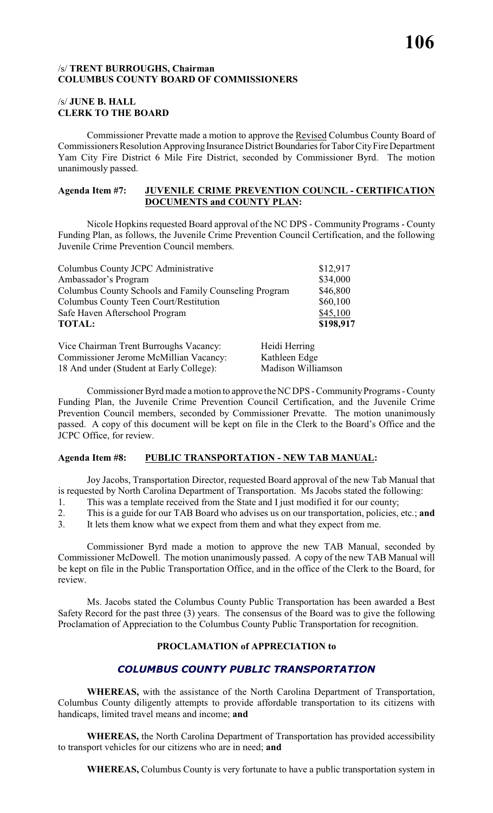#### /s/ **TRENT BURROUGHS, Chairman COLUMBUS COUNTY BOARD OF COMMISSIONERS**

#### /s/ **JUNE B. HALL CLERK TO THE BOARD**

Commissioner Prevatte made a motion to approve the Revised Columbus County Board of Commissioners Resolution Approving Insurance District Boundaries for Tabor City Fire Department Yam City Fire District 6 Mile Fire District, seconded by Commissioner Byrd. The motion unanimously passed.

#### **Agenda Item #7: JUVENILE CRIME PREVENTION COUNCIL - CERTIFICATION DOCUMENTS and COUNTY PLAN:**

Nicole Hopkins requested Board approval of the NC DPS - Community Programs - County Funding Plan, as follows, the Juvenile Crime Prevention Council Certification, and the following Juvenile Crime Prevention Council members.

| Columbus County JCPC Administrative                   | \$12,917  |
|-------------------------------------------------------|-----------|
| Ambassador's Program                                  | \$34,000  |
| Columbus County Schools and Family Counseling Program | \$46,800  |
| Columbus County Teen Court/Restitution                | \$60,100  |
| Safe Haven Afterschool Program                        | \$45,100  |
| <b>TOTAL:</b>                                         | \$198,917 |

| Vice Chairman Trent Burroughs Vacancy:   | Heidi Herring      |
|------------------------------------------|--------------------|
| Commissioner Jerome McMillian Vacancy:   | Kathleen Edge      |
| 18 And under (Student at Early College): | Madison Williamson |

Commissioner Byrd made a motion to approve the NC DPS - Community Programs - County Funding Plan, the Juvenile Crime Prevention Council Certification, and the Juvenile Crime Prevention Council members, seconded by Commissioner Prevatte. The motion unanimously passed. A copy of this document will be kept on file in the Clerk to the Board's Office and the JCPC Office, for review.

# **Agenda Item #8: PUBLIC TRANSPORTATION - NEW TAB MANUAL:**

Joy Jacobs, Transportation Director, requested Board approval of the new Tab Manual that is requested by North Carolina Department of Transportation. Ms Jacobs stated the following:

1. This was a template received from the State and I just modified it for our county;

2. This is a guide for our TAB Board who advises us on our transportation, policies, etc.; **and**

3. It lets them know what we expect from them and what they expect from me.

Commissioner Byrd made a motion to approve the new TAB Manual, seconded by Commissioner McDowell. The motion unanimously passed. A copy of the new TAB Manual will be kept on file in the Public Transportation Office, and in the office of the Clerk to the Board, for review.

Ms. Jacobs stated the Columbus County Public Transportation has been awarded a Best Safety Record for the past three (3) years. The consensus of the Board was to give the following Proclamation of Appreciation to the Columbus County Public Transportation for recognition.

# **PROCLAMATION of APPRECIATION to**

# *COLUMBUS COUNTY PUBLIC TRANSPORTATION*

**WHEREAS,** with the assistance of the North Carolina Department of Transportation, Columbus County diligently attempts to provide affordable transportation to its citizens with handicaps, limited travel means and income; **and**

**WHEREAS,** the North Carolina Department of Transportation has provided accessibility to transport vehicles for our citizens who are in need; **and**

**WHEREAS,** Columbus County is very fortunate to have a public transportation system in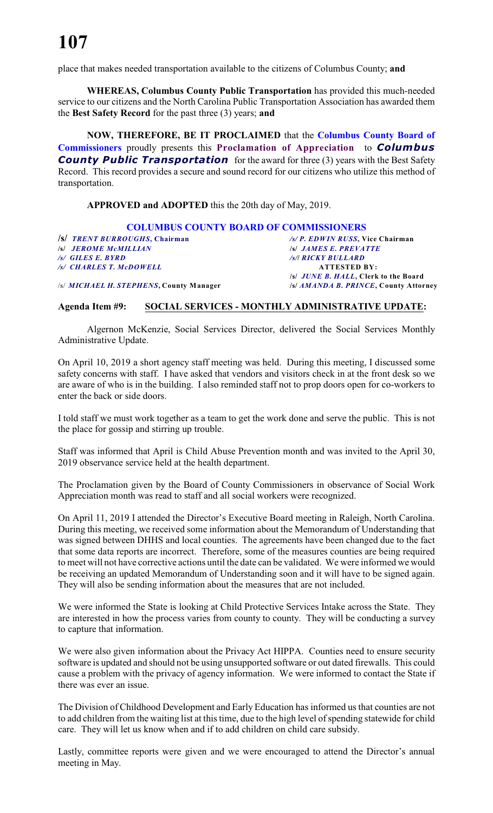place that makes needed transportation available to the citizens of Columbus County; **and**

**WHEREAS, Columbus County Public Transportation** has provided this much-needed service to our citizens and the North Carolina Public Transportation Association has awarded them the **Best Safety Record** for the past three (3) years; **and**

**NOW, THEREFORE, BE IT PROCLAIMED** that the **Columbus County Board of Commissioners** proudly presents this **Proclamation of Appreciation** to *Columbus* **County Public Transportation** for the award for three (3) years with the Best Safety Record. This record provides a secure and sound record for our citizens who utilize this method of transportation.

**APPROVED and ADOPTED** this the 20th day of May, 2019.

### **COLUMBUS COUNTY BOARD OF COMMISSIONERS**

**/s/** *TRENT BURROUGHS***, Chairman** */s/ P. EDWIN RUSS***, Vice Chairman /s/** *JEROME McMILLIAN* **/s/** *JAMES E. PREVATTE /s/ GILES E. BYRD**/s/***/** *RICKY BULLARD /s/ CHARLES T. McDOWELL* **ATTESTED BY:**

**/s/** *JUNE B. HALL***, Clerk to the Board**

#### /s/ *MICHAEL H. STEPHENS***, County Manager /s/** *AMANDA B. PRINCE***, County Attorney**

#### **Agenda Item #9: SOCIAL SERVICES - MONTHLY ADMINISTRATIVE UPDATE:**

Algernon McKenzie, Social Services Director, delivered the Social Services Monthly Administrative Update.

On April 10, 2019 a short agency staff meeting was held. During this meeting, I discussed some safety concerns with staff. I have asked that vendors and visitors check in at the front desk so we are aware of who is in the building. I also reminded staff not to prop doors open for co-workers to enter the back or side doors.

I told staff we must work together as a team to get the work done and serve the public. This is not the place for gossip and stirring up trouble.

Staff was informed that April is Child Abuse Prevention month and was invited to the April 30, 2019 observance service held at the health department.

The Proclamation given by the Board of County Commissioners in observance of Social Work Appreciation month was read to staff and all social workers were recognized.

On April 11, 2019 I attended the Director's Executive Board meeting in Raleigh, North Carolina. During this meeting, we received some information about the Memorandum of Understanding that was signed between DHHS and local counties. The agreements have been changed due to the fact that some data reports are incorrect. Therefore, some of the measures counties are being required to meet will not have corrective actions until the date can be validated. We were informed we would be receiving an updated Memorandum of Understanding soon and it will have to be signed again. They will also be sending information about the measures that are not included.

We were informed the State is looking at Child Protective Services Intake across the State. They are interested in how the process varies from county to county. They will be conducting a survey to capture that information.

We were also given information about the Privacy Act HIPPA. Counties need to ensure security software is updated and should not be using unsupported software or out dated firewalls. This could cause a problem with the privacy of agency information. We were informed to contact the State if there was ever an issue.

The Division of Childhood Development and Early Education has informed us that counties are not to add children from the waiting list at this time, due to the high level of spending statewide for child care. They will let us know when and if to add children on child care subsidy.

Lastly, committee reports were given and we were encouraged to attend the Director's annual meeting in May.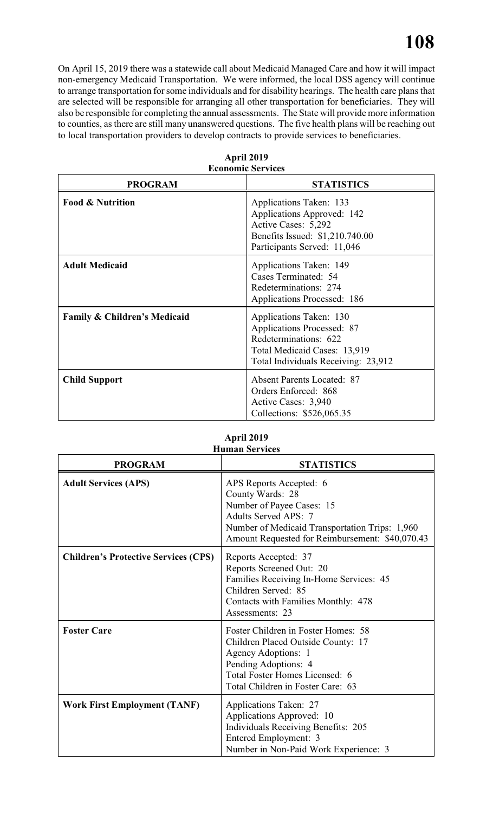On April 15, 2019 there was a statewide call about Medicaid Managed Care and how it will impact non-emergency Medicaid Transportation. We were informed, the local DSS agency will continue to arrange transportation for some individuals and for disability hearings. The health care plans that are selected will be responsible for arranging all other transportation for beneficiaries. They will also be responsible for completing the annual assessments. The State will provide more information to counties, as there are still many unanswered questions. The five health plans will be reaching out to local transportation providers to develop contracts to provide services to beneficiaries.

| <b>PROGRAM</b>                          | есопонне эсі тісел<br><b>STATISTICS</b>                                                                                                               |
|-----------------------------------------|-------------------------------------------------------------------------------------------------------------------------------------------------------|
| <b>Food &amp; Nutrition</b>             | Applications Taken: 133<br>Applications Approved: 142<br>Active Cases: 5,292<br>Benefits Issued: \$1,210.740.00<br>Participants Served: 11,046        |
| <b>Adult Medicaid</b>                   | Applications Taken: 149<br>Cases Terminated: 54<br>Redeterminations: 274<br>Applications Processed: 186                                               |
| <b>Family &amp; Children's Medicaid</b> | Applications Taken: 130<br>Applications Processed: 87<br>Redeterminations: 622<br>Total Medicaid Cases: 13,919<br>Total Individuals Receiving: 23,912 |
| <b>Child Support</b>                    | <b>Absent Parents Located: 87</b><br>Orders Enforced: 868<br>Active Cases: 3,940<br>Collections: \$526,065.35                                         |

#### **April 2019 Economic Services**

| <b>Human Services</b>                       |                                                                                                                                                                                                              |  |  |
|---------------------------------------------|--------------------------------------------------------------------------------------------------------------------------------------------------------------------------------------------------------------|--|--|
| <b>PROGRAM</b>                              | <b>STATISTICS</b>                                                                                                                                                                                            |  |  |
| <b>Adult Services (APS)</b>                 | APS Reports Accepted: 6<br>County Wards: 28<br>Number of Payee Cases: 15<br><b>Adults Served APS: 7</b><br>Number of Medicaid Transportation Trips: 1,960<br>Amount Requested for Reimbursement: \$40,070.43 |  |  |
| <b>Children's Protective Services (CPS)</b> | Reports Accepted: 37<br>Reports Screened Out: 20<br>Families Receiving In-Home Services: 45<br>Children Served: 85<br>Contacts with Families Monthly: 478<br>Assessments: 23                                 |  |  |
| <b>Foster Care</b>                          | Foster Children in Foster Homes: 58<br>Children Placed Outside County: 17<br>Agency Adoptions: 1<br>Pending Adoptions: 4<br>Total Foster Homes Licensed: 6<br>Total Children in Foster Care: 63              |  |  |
| <b>Work First Employment (TANF)</b>         | Applications Taken: 27<br>Applications Approved: 10<br>Individuals Receiving Benefits: 205<br>Entered Employment: 3<br>Number in Non-Paid Work Experience: 3                                                 |  |  |

# **April 2019**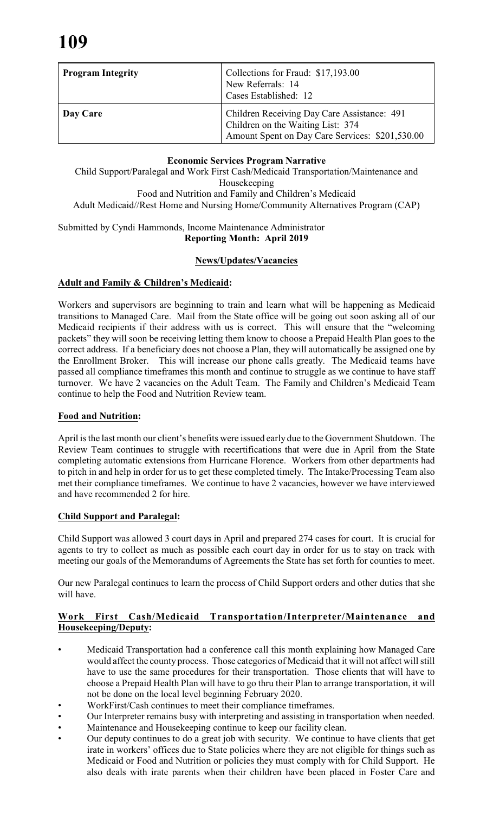| <b>Program Integrity</b> | Collections for Fraud: \$17,193.00<br>New Referrals: 14<br>Cases Established: 12                                                    |
|--------------------------|-------------------------------------------------------------------------------------------------------------------------------------|
| Day Care                 | Children Receiving Day Care Assistance: 491<br>Children on the Waiting List: 374<br>Amount Spent on Day Care Services: \$201,530.00 |

## **Economic Services Program Narrative**

Child Support/Paralegal and Work First Cash/Medicaid Transportation/Maintenance and Housekeeping Food and Nutrition and Family and Children's Medicaid

Adult Medicaid//Rest Home and Nursing Home/Community Alternatives Program (CAP)

### Submitted by Cyndi Hammonds, Income Maintenance Administrator **Reporting Month: April 2019**

## **News/Updates/Vacancies**

## **Adult and Family & Children's Medicaid:**

Workers and supervisors are beginning to train and learn what will be happening as Medicaid transitions to Managed Care. Mail from the State office will be going out soon asking all of our Medicaid recipients if their address with us is correct. This will ensure that the "welcoming packets" they will soon be receiving letting them know to choose a Prepaid Health Plan goes to the correct address. If a beneficiary does not choose a Plan, they will automatically be assigned one by the Enrollment Broker. This will increase our phone calls greatly. The Medicaid teams have passed all compliance timeframes this month and continue to struggle as we continue to have staff turnover. We have 2 vacancies on the Adult Team. The Family and Children's Medicaid Team continue to help the Food and Nutrition Review team.

### **Food and Nutrition:**

April is the last month our client's benefits were issued early due to the Government Shutdown. The Review Team continues to struggle with recertifications that were due in April from the State completing automatic extensions from Hurricane Florence. Workers from other departments had to pitch in and help in order for us to get these completed timely. The Intake/Processing Team also met their compliance timeframes. We continue to have 2 vacancies, however we have interviewed and have recommended 2 for hire.

### **Child Support and Paralegal:**

Child Support was allowed 3 court days in April and prepared 274 cases for court. It is crucial for agents to try to collect as much as possible each court day in order for us to stay on track with meeting our goals of the Memorandums of Agreements the State has set forth for counties to meet.

Our new Paralegal continues to learn the process of Child Support orders and other duties that she will have.

# **Work First Cash/Medicaid Transportation/Interpreter/Maintenance and Housekeeping/Deputy:**

- Medicaid Transportation had a conference call this month explaining how Managed Care would affect the county process. Those categories of Medicaid that it will not affect will still have to use the same procedures for their transportation. Those clients that will have to choose a Prepaid Health Plan will have to go thru their Plan to arrange transportation, it will not be done on the local level beginning February 2020.
- WorkFirst/Cash continues to meet their compliance timeframes.
- Our Interpreter remains busy with interpreting and assisting in transportation when needed.
- Maintenance and Housekeeping continue to keep our facility clean.
- Our deputy continues to do a great job with security. We continue to have clients that get irate in workers' offices due to State policies where they are not eligible for things such as Medicaid or Food and Nutrition or policies they must comply with for Child Support. He also deals with irate parents when their children have been placed in Foster Care and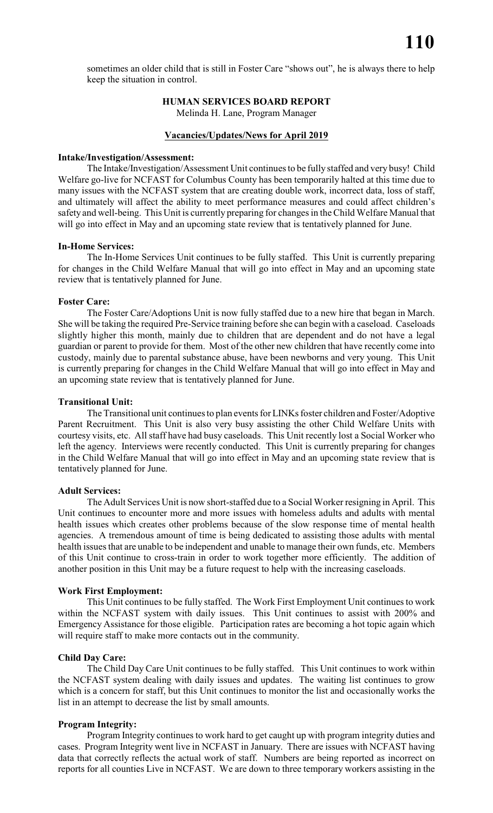sometimes an older child that is still in Foster Care "shows out", he is always there to help keep the situation in control.

> **HUMAN SERVICES BOARD REPORT** Melinda H. Lane, Program Manager

#### **Vacancies/Updates/News for April 2019**

#### **Intake/Investigation/Assessment:**

The Intake/Investigation/Assessment Unit continues to be fully staffed and very busy! Child Welfare go-live for NCFAST for Columbus County has been temporarily halted at this time due to many issues with the NCFAST system that are creating double work, incorrect data, loss of staff, and ultimately will affect the ability to meet performance measures and could affect children's safety and well-being. This Unit is currently preparing for changes in the Child Welfare Manual that will go into effect in May and an upcoming state review that is tentatively planned for June.

#### **In-Home Services:**

The In-Home Services Unit continues to be fully staffed. This Unit is currently preparing for changes in the Child Welfare Manual that will go into effect in May and an upcoming state review that is tentatively planned for June.

#### **Foster Care:**

The Foster Care/Adoptions Unit is now fully staffed due to a new hire that began in March. She will be taking the required Pre-Service training before she can begin with a caseload. Caseloads slightly higher this month, mainly due to children that are dependent and do not have a legal guardian or parent to provide for them. Most of the other new children that have recently come into custody, mainly due to parental substance abuse, have been newborns and very young. This Unit is currently preparing for changes in the Child Welfare Manual that will go into effect in May and an upcoming state review that is tentatively planned for June.

#### **Transitional Unit:**

The Transitional unit continues to plan events for LINKs foster children and Foster/Adoptive Parent Recruitment. This Unit is also very busy assisting the other Child Welfare Units with courtesy visits, etc. All staff have had busy caseloads. This Unit recently lost a Social Worker who left the agency. Interviews were recently conducted. This Unit is currently preparing for changes in the Child Welfare Manual that will go into effect in May and an upcoming state review that is tentatively planned for June.

#### **Adult Services:**

The Adult Services Unit is now short-staffed due to a Social Worker resigning in April. This Unit continues to encounter more and more issues with homeless adults and adults with mental health issues which creates other problems because of the slow response time of mental health agencies. A tremendous amount of time is being dedicated to assisting those adults with mental health issues that are unable to be independent and unable to manage their own funds, etc. Members of this Unit continue to cross-train in order to work together more efficiently. The addition of another position in this Unit may be a future request to help with the increasing caseloads.

#### **Work First Employment:**

This Unit continues to be fully staffed. The Work First Employment Unit continues to work within the NCFAST system with daily issues. This Unit continues to assist with 200% and Emergency Assistance for those eligible. Participation rates are becoming a hot topic again which will require staff to make more contacts out in the community.

#### **Child Day Care:**

The Child Day Care Unit continues to be fully staffed. This Unit continues to work within the NCFAST system dealing with daily issues and updates. The waiting list continues to grow which is a concern for staff, but this Unit continues to monitor the list and occasionally works the list in an attempt to decrease the list by small amounts.

#### **Program Integrity:**

Program Integrity continues to work hard to get caught up with program integrity duties and cases. Program Integrity went live in NCFAST in January. There are issues with NCFAST having data that correctly reflects the actual work of staff. Numbers are being reported as incorrect on reports for all counties Live in NCFAST. We are down to three temporary workers assisting in the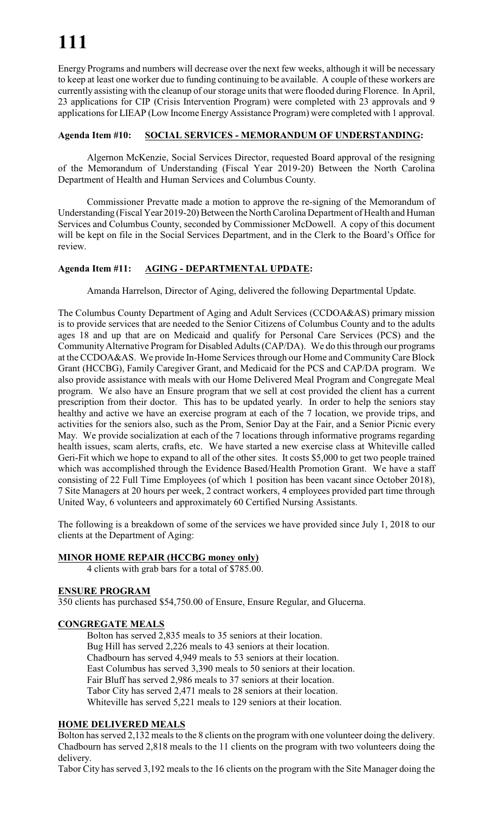Energy Programs and numbers will decrease over the next few weeks, although it will be necessary to keep at least one worker due to funding continuing to be available. A couple of these workers are currently assisting with the cleanup of our storage units that were flooded during Florence. In April, 23 applications for CIP (Crisis Intervention Program) were completed with 23 approvals and 9 applications for LIEAP (Low Income EnergyAssistance Program) were completed with 1 approval.

# **Agenda Item #10: SOCIAL SERVICES - MEMORANDUM OF UNDERSTANDING:**

Algernon McKenzie, Social Services Director, requested Board approval of the resigning of the Memorandum of Understanding (Fiscal Year 2019-20) Between the North Carolina Department of Health and Human Services and Columbus County.

Commissioner Prevatte made a motion to approve the re-signing of the Memorandum of Understanding (Fiscal Year 2019-20) Between the North Carolina Department of Health and Human Services and Columbus County, seconded by Commissioner McDowell. A copy of this document will be kept on file in the Social Services Department, and in the Clerk to the Board's Office for review.

# **Agenda Item #11: AGING - DEPARTMENTAL UPDATE:**

Amanda Harrelson, Director of Aging, delivered the following Departmental Update.

The Columbus County Department of Aging and Adult Services (CCDOA&AS) primary mission is to provide services that are needed to the Senior Citizens of Columbus County and to the adults ages 18 and up that are on Medicaid and qualify for Personal Care Services (PCS) and the Community Alternative Program for Disabled Adults (CAP/DA). We do this through our programs at the CCDOA&AS. We provide In-Home Services through our Home and Community Care Block Grant (HCCBG), Family Caregiver Grant, and Medicaid for the PCS and CAP/DA program. We also provide assistance with meals with our Home Delivered Meal Program and Congregate Meal program. We also have an Ensure program that we sell at cost provided the client has a current prescription from their doctor. This has to be updated yearly. In order to help the seniors stay healthy and active we have an exercise program at each of the 7 location, we provide trips, and activities for the seniors also, such as the Prom, Senior Day at the Fair, and a Senior Picnic every May. We provide socialization at each of the 7 locations through informative programs regarding health issues, scam alerts, crafts, etc. We have started a new exercise class at Whiteville called Geri-Fit which we hope to expand to all of the other sites. It costs \$5,000 to get two people trained which was accomplished through the Evidence Based/Health Promotion Grant. We have a staff consisting of 22 Full Time Employees (of which 1 position has been vacant since October 2018), 7 Site Managers at 20 hours per week, 2 contract workers, 4 employees provided part time through United Way, 6 volunteers and approximately 60 Certified Nursing Assistants.

The following is a breakdown of some of the services we have provided since July 1, 2018 to our clients at the Department of Aging:

### **MINOR HOME REPAIR (HCCBG money only)**

4 clients with grab bars for a total of \$785.00.

### **ENSURE PROGRAM**

350 clients has purchased \$54,750.00 of Ensure, Ensure Regular, and Glucerna.

#### **CONGREGATE MEALS**

Bolton has served 2,835 meals to 35 seniors at their location. Bug Hill has served 2,226 meals to 43 seniors at their location. Chadbourn has served 4,949 meals to 53 seniors at their location. East Columbus has served 3,390 meals to 50 seniors at their location. Fair Bluff has served 2,986 meals to 37 seniors at their location. Tabor City has served 2,471 meals to 28 seniors at their location. Whiteville has served 5,221 meals to 129 seniors at their location.

### **HOME DELIVERED MEALS**

Bolton has served 2,132 meals to the 8 clients on the program with one volunteer doing the delivery. Chadbourn has served 2,818 meals to the 11 clients on the program with two volunteers doing the delivery.

Tabor City has served 3,192 meals to the 16 clients on the program with the Site Manager doing the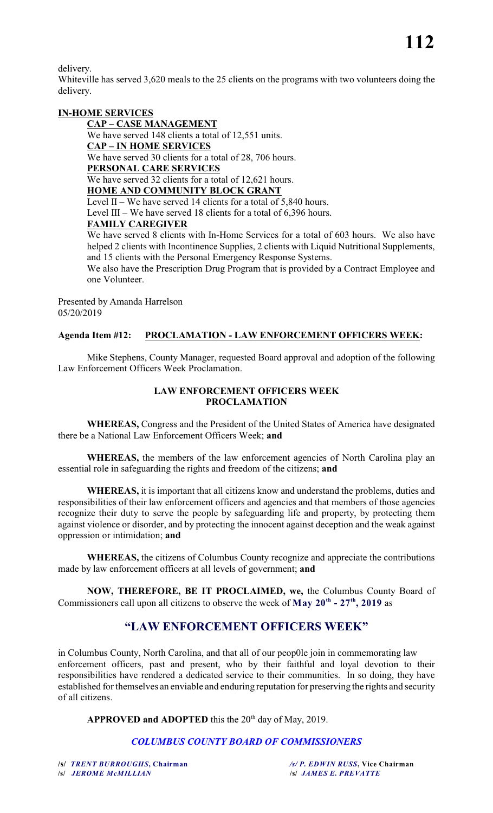delivery.

Whiteville has served 3,620 meals to the 25 clients on the programs with two volunteers doing the delivery.

### **IN-HOME SERVICES**

**CAP – CASE MANAGEMENT** We have served 148 clients a total of 12,551 units. **CAP – IN HOME SERVICES** We have served 30 clients for a total of 28, 706 hours. **PERSONAL CARE SERVICES** We have served 32 clients for a total of 12,621 hours. **HOME AND COMMUNITY BLOCK GRANT** Level II – We have served 14 clients for a total of 5,840 hours. Level III – We have served 18 clients for a total of 6,396 hours. **FAMILY CAREGIVER**

We have served 8 clients with In-Home Services for a total of 603 hours. We also have helped 2 clients with Incontinence Supplies, 2 clients with Liquid Nutritional Supplements, and 15 clients with the Personal Emergency Response Systems.

We also have the Prescription Drug Program that is provided by a Contract Employee and one Volunteer.

Presented by Amanda Harrelson 05/20/2019

## **Agenda Item #12: PROCLAMATION - LAW ENFORCEMENT OFFICERS WEEK:**

Mike Stephens, County Manager, requested Board approval and adoption of the following Law Enforcement Officers Week Proclamation.

#### **LAW ENFORCEMENT OFFICERS WEEK PROCLAMATION**

**WHEREAS,** Congress and the President of the United States of America have designated there be a National Law Enforcement Officers Week; **and**

**WHEREAS,** the members of the law enforcement agencies of North Carolina play an essential role in safeguarding the rights and freedom of the citizens; **and**

**WHEREAS,** it is important that all citizens know and understand the problems, duties and responsibilities of their law enforcement officers and agencies and that members of those agencies recognize their duty to serve the people by safeguarding life and property, by protecting them against violence or disorder, and by protecting the innocent against deception and the weak against oppression or intimidation; **and**

**WHEREAS,** the citizens of Columbus County recognize and appreciate the contributions made by law enforcement officers at all levels of government; **and**

**NOW, THEREFORE, BE IT PROCLAIMED, we,** the Columbus County Board of Commissioners call upon all citizens to observe the week of **May 20<sup>th</sup> - 27<sup>th</sup>**, 2019 as

# **"LAW ENFORCEMENT OFFICERS WEEK"**

in Columbus County, North Carolina, and that all of our peop0le join in commemorating law enforcement officers, past and present, who by their faithful and loyal devotion to their responsibilities have rendered a dedicated service to their communities. In so doing, they have established for themselves an enviable and enduring reputation for preserving the rights and security of all citizens.

**APPROVED and ADOPTED** this the  $20<sup>th</sup>$  day of May, 2019.

### *COLUMBUS COUNTY BOARD OF COMMISSIONERS*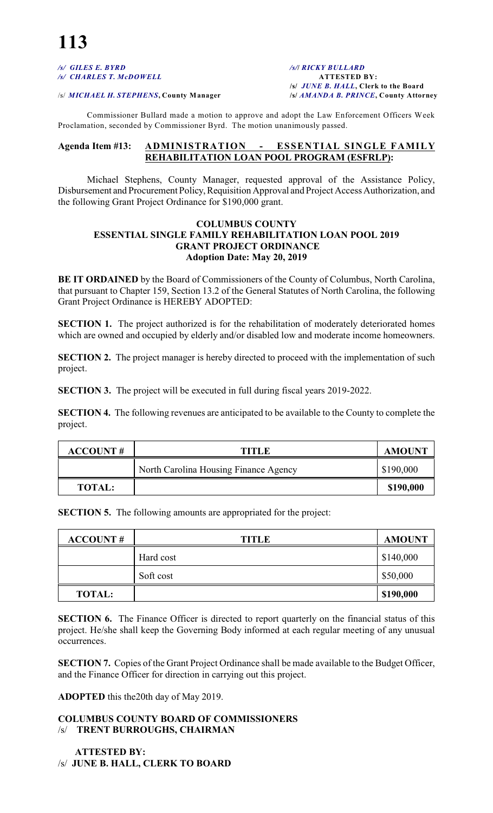*/s/ GILES E. BYRD**/s/***/** *RICKY BULLARD /s/ CHARLES T. McDOWELL* **ATTESTED BY:**

**/s/** *JUNE B. HALL***, Clerk to the Board**

#### /s/ *MICHAEL H. STEPHENS***, County Manager /s/** *AMANDA B. PRINCE***, County Attorney**

Commissioner Bullard made a motion to approve and adopt the Law Enforcement Officers Week Proclamation, seconded by Commissioner Byrd. The motion unanimously passed.

#### **Agenda Item #13: ADMINISTRATION - ESSENTIAL SINGLE FAMILY REHABILITATION LOAN POOL PROGRAM (ESFRLP):**

Michael Stephens, County Manager, requested approval of the Assistance Policy, Disbursement and Procurement Policy, Requisition Approval and Project Access Authorization, and the following Grant Project Ordinance for \$190,000 grant.

#### **COLUMBUS COUNTY ESSENTIAL SINGLE FAMILY REHABILITATION LOAN POOL 2019 GRANT PROJECT ORDINANCE Adoption Date: May 20, 2019**

**BE IT ORDAINED** by the Board of Commissioners of the County of Columbus, North Carolina, that pursuant to Chapter 159, Section 13.2 of the General Statutes of North Carolina, the following Grant Project Ordinance is HEREBY ADOPTED:

**SECTION 1.** The project authorized is for the rehabilitation of moderately deteriorated homes which are owned and occupied by elderly and/or disabled low and moderate income homeowners.

**SECTION 2.** The project manager is hereby directed to proceed with the implementation of such project.

**SECTION 3.** The project will be executed in full during fiscal years 2019-2022.

**SECTION 4.** The following revenues are anticipated to be available to the County to complete the project.

| <b>ACCOUNT#</b> | TITLE                                 | <b>AMOUNT</b> |  |
|-----------------|---------------------------------------|---------------|--|
|                 | North Carolina Housing Finance Agency | \$190,000     |  |
| <b>TOTAL:</b>   |                                       | \$190,000     |  |

**SECTION 5.** The following amounts are appropriated for the project:

| <b>ACCOUNT#</b> | <b>TITLE</b> | <b>AMOUNT</b> |
|-----------------|--------------|---------------|
|                 | Hard cost    | \$140,000     |
|                 | Soft cost    | \$50,000      |
| <b>TOTAL:</b>   |              | \$190,000     |

**SECTION 6.** The Finance Officer is directed to report quarterly on the financial status of this project. He/she shall keep the Governing Body informed at each regular meeting of any unusual occurrences.

**SECTION 7.** Copies of the Grant Project Ordinance shall be made available to the Budget Officer, and the Finance Officer for direction in carrying out this project.

**ADOPTED** this the20th day of May 2019.

#### **COLUMBUS COUNTY BOARD OF COMMISSIONERS** /s/ **TRENT BURROUGHS, CHAIRMAN**

### **ATTESTED BY:**  /s/ **JUNE B. HALL, CLERK TO BOARD**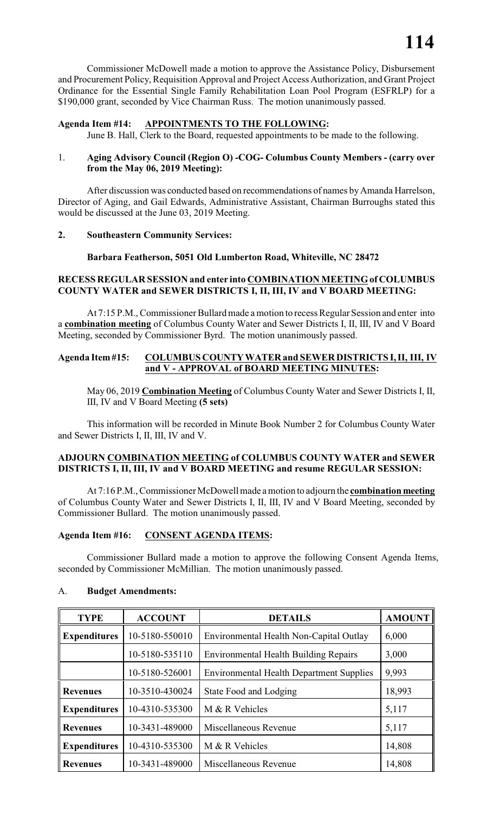Commissioner McDowell made a motion to approve the Assistance Policy, Disbursement and Procurement Policy, Requisition Approval and Project Access Authorization, and Grant Project Ordinance for the Essential Single Family Rehabilitation Loan Pool Program (ESFRLP) for a \$190,000 grant, seconded by Vice Chairman Russ. The motion unanimously passed.

## **Agenda Item #14: APPOINTMENTS TO THE FOLLOWING:**

June B. Hall, Clerk to the Board, requested appointments to be made to the following.

#### 1. **Aging Advisory Council (Region O) -COG- Columbus County Members - (carry over from the May 06, 2019 Meeting):**

After discussion was conducted based on recommendations of names by Amanda Harrelson, Director of Aging, and Gail Edwards, Administrative Assistant, Chairman Burroughs stated this would be discussed at the June 03, 2019 Meeting.

### **2. Southeastern Community Services:**

## **Barbara Featherson, 5051 Old Lumberton Road, Whiteville, NC 28472**

### **RECESS REGULAR SESSION and enter into COMBINATION MEETING of COLUMBUS COUNTY WATER and SEWER DISTRICTS I, II, III, IV and V BOARD MEETING:**

At 7:15 P.M., Commissioner Bullard made a motion to recess Regular Session and enter into a **combination meeting** of Columbus County Water and Sewer Districts I, II, III, IV and V Board Meeting, seconded by Commissioner Byrd. The motion unanimously passed.

### **Agenda Item #15: COLUMBUS COUNTY WATER and SEWER DISTRICTS I, II, III, IV and V - APPROVAL of BOARD MEETING MINUTES:**

May 06, 2019 **Combination Meeting** of Columbus County Water and Sewer Districts I, II, III, IV and V Board Meeting **(5 sets)**

This information will be recorded in Minute Book Number 2 for Columbus County Water and Sewer Districts I, II, III, IV and V.

## **ADJOURN COMBINATION MEETING of COLUMBUS COUNTY WATER and SEWER DISTRICTS I, II, III, IV and V BOARD MEETING and resume REGULAR SESSION:**

At 7:16 P.M., Commissioner McDowell made a motion to adjourn the **combination meeting** of Columbus County Water and Sewer Districts I, II, III, IV and V Board Meeting, seconded by Commissioner Bullard. The motion unanimously passed.

### **Agenda Item #16: CONSENT AGENDA ITEMS:**

Commissioner Bullard made a motion to approve the following Consent Agenda Items, seconded by Commissioner McMillian. The motion unanimously passed.

| <b>TYPE</b>         | <b>ACCOUNT</b> | <b>DETAILS</b>                                  | <b>AMOUNT</b> |
|---------------------|----------------|-------------------------------------------------|---------------|
| <b>Expenditures</b> | 10-5180-550010 | Environmental Health Non-Capital Outlay         | 6,000         |
|                     | 10-5180-535110 | <b>Environmental Health Building Repairs</b>    | 3,000         |
|                     | 10-5180-526001 | <b>Environmental Health Department Supplies</b> | 9,993         |
| <b>Revenues</b>     | 10-3510-430024 | State Food and Lodging                          | 18,993        |
| <b>Expenditures</b> | 10-4310-535300 | M & R Vehicles                                  | 5,117         |
| <b>Revenues</b>     | 10-3431-489000 | Miscellaneous Revenue                           | 5,117         |
| <b>Expenditures</b> | 10-4310-535300 | M & R Vehicles                                  | 14,808        |
| <b>Revenues</b>     | 10-3431-489000 | Miscellaneous Revenue                           | 14,808        |

### A. **Budget Amendments:**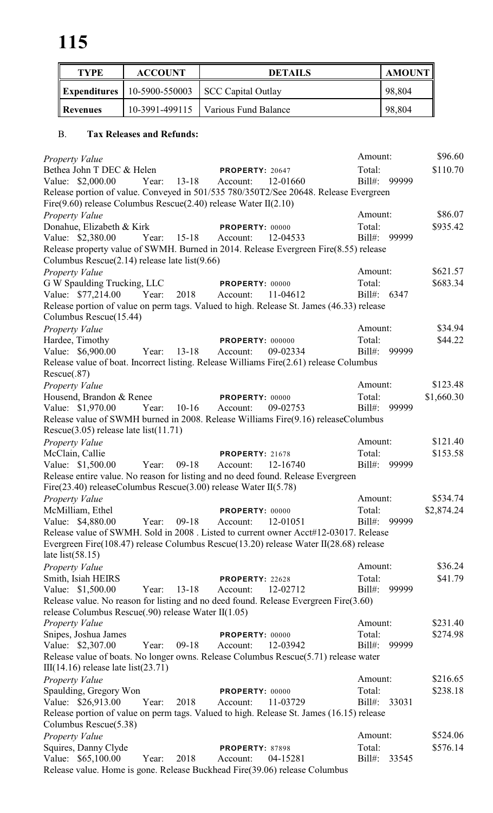| <b>TYPE</b>     | <b>ACCOUNT</b>                | <b>DETAILS</b>                        | <b>AMOUNT</b> |
|-----------------|-------------------------------|---------------------------------------|---------------|
|                 | Expenditures   10-5900-550003 | SCC Capital Outlay                    | 98,804        |
| <b>Revenues</b> |                               | 10-3991-499115   Various Fund Balance | 98,804        |

# B. **Tax Releases and Refunds:**

| Property Value                                                                           | Amount:      |       | \$96.60    |
|------------------------------------------------------------------------------------------|--------------|-------|------------|
| Bethea John T DEC & Helen<br>PROPERTY: 20647                                             | Total:       |       | \$110.70   |
| Value: \$2,000.00<br>$13 - 18$<br>Year:<br>12-01660<br>Account:                          | Bill#:       | 99999 |            |
| Release portion of value. Conveyed in 501/535 780/350T2/See 20648. Release Evergreen     |              |       |            |
| Fire $(9.60)$ release Columbus Rescue $(2.40)$ release Water II $(2.10)$                 |              |       |            |
| <b>Property Value</b>                                                                    | Amount:      |       | \$86.07    |
| Donahue, Elizabeth & Kirk<br>PROPERTY: 00000                                             | Total:       |       | \$935.42   |
| Value: \$2,380.00<br>Year:<br>$15 - 18$<br>Account:<br>12-04533                          | Bill#: 99999 |       |            |
| Release property value of SWMH. Burned in 2014. Release Evergreen Fire(8.55) release     |              |       |            |
| Columbus Rescue(2.14) release late list(9.66)                                            |              |       |            |
| Property Value                                                                           | Amount:      |       | \$621.57   |
| G W Spaulding Trucking, LLC<br>PROPERTY: 00000                                           | Total:       |       | \$683.34   |
| Value: \$77,214.00<br>Year:<br>2018<br>Account:<br>11-04612                              | Bill#: 6347  |       |            |
| Release portion of value on perm tags. Valued to high. Release St. James (46.33) release |              |       |            |
| Columbus Rescue(15.44)                                                                   |              |       |            |
| Property Value                                                                           | Amount:      |       | \$34.94    |
| Hardee, Timothy<br><b>PROPERTY: 000000</b>                                               | Total:       |       | \$44.22    |
| Value: \$6,900.00<br>13-18<br>Year:<br>09-02334<br>Account:                              | $Bill#$ :    | 99999 |            |
| Release value of boat. Incorrect listing. Release Williams Fire(2.61) release Columbus   |              |       |            |
| Rescue(.87)                                                                              |              |       |            |
| Property Value                                                                           | Amount:      |       | \$123.48   |
| Housend, Brandon & Renee<br>PROPERTY: 00000                                              | Total:       |       | \$1,660.30 |
| Value: \$1,970.00<br>Year:<br>$10-16$<br>Account:<br>09-02753                            | $Bill#$ :    | 99999 |            |
| Release value of SWMH burned in 2008. Release Williams Fire(9.16) releaseColumbus        |              |       |            |
| Rescue $(3.05)$ release late list $(11.71)$                                              |              |       |            |
| <b>Property Value</b>                                                                    | Amount:      |       | \$121.40   |
| McClain, Callie<br><b>PROPERTY: 21678</b>                                                | Total:       |       | \$153.58   |
| Value: \$1,500.00<br>Year:<br>$09-18$<br>Account:<br>12-16740                            | Bill#:       | 99999 |            |
| Release entire value. No reason for listing and no deed found. Release Evergreen         |              |       |            |
| Fire $(23.40)$ releaseColumbus Rescue $(3.00)$ release Water II $(5.78)$                 |              |       |            |
| Property Value                                                                           | Amount:      |       | \$534.74   |
| McMilliam, Ethel<br>PROPERTY: 00000                                                      | Total:       |       | \$2,874.24 |
| 12-01051<br>Value: \$4,880.00<br>$09-18$<br>Year:<br>Account:                            | $Bill#$ :    | 99999 |            |
| Release value of SWMH. Sold in 2008. Listed to current owner Acct#12-03017. Release      |              |       |            |
| Evergreen Fire(108.47) release Columbus Rescue(13.20) release Water II(28.68) release    |              |       |            |
| late list $(58.15)$                                                                      |              |       |            |
| Property Value                                                                           | Amount:      |       | \$36.24    |
| Smith, Isiah HEIRS<br>PROPERTY: 22628                                                    | Total:       |       | \$41.79    |
| Value: \$1,500.00<br>$13-18$<br>12-02712<br>Year:<br>Account:                            | Bill#:       | 99999 |            |
| Release value. No reason for listing and no deed found. Release Evergreen Fire(3.60)     |              |       |            |
| release Columbus Rescue $(.90)$ release Water II $(1.05)$                                |              |       |            |
| <b>Property Value</b>                                                                    | Amount:      |       | \$231.40   |
| Snipes, Joshua James<br>PROPERTY: 00000                                                  | Total:       |       | \$274.98   |
| Value: \$2,307.00<br>$09-18$<br>12-03942<br>Year:<br>Account:                            | Bill#:       | 99999 |            |
| Release value of boats. No longer owns. Release Columbus Rescue(5.71) release water      |              |       |            |
| $III(14.16)$ release late list(23.71)                                                    |              |       |            |
| <b>Property Value</b>                                                                    | Amount:      |       | \$216.65   |
| Spaulding, Gregory Won<br>PROPERTY: 00000                                                | Total:       |       | \$238.18   |
| Value: \$26,913.00<br>Year:<br>2018<br>Account:<br>11-03729                              | Bill#:       | 33031 |            |
| Release portion of value on perm tags. Valued to high. Release St. James (16.15) release |              |       |            |
| Columbus Rescue(5.38)                                                                    |              |       |            |
| <b>Property Value</b>                                                                    | Amount:      |       | \$524.06   |
| Squires, Danny Clyde<br><b>PROPERTY: 87898</b>                                           | Total:       |       | \$576.14   |
| Value: \$65,100.00<br>Year:<br>2018<br>04-15281<br>Account:                              | Bill#:       | 33545 |            |
| Release value. Home is gone. Release Buckhead Fire(39.06) release Columbus               |              |       |            |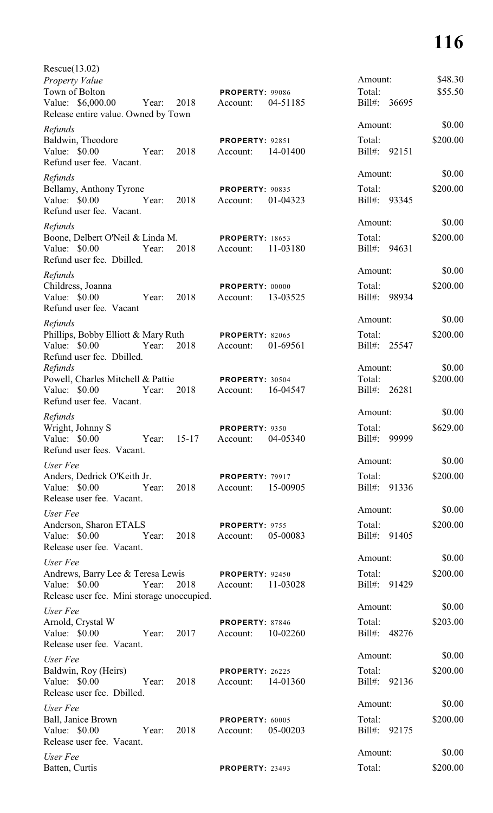| Rescue(13.02)                                                             |                                        |                        |          |
|---------------------------------------------------------------------------|----------------------------------------|------------------------|----------|
| Property Value                                                            |                                        | Amount:                | \$48.30  |
| Town of Bolton                                                            | <b>PROPERTY: 99086</b>                 | Total:                 | \$55.50  |
| Value: \$6,000.00<br>2018<br>Year:<br>Release entire value. Owned by Town | 04-51185<br>Account:                   | Bill#: 36695           |          |
| Refunds                                                                   |                                        | Amount:                | \$0.00   |
| Baldwin, Theodore                                                         | PROPERTY: 92851                        | Total:                 | \$200.00 |
| Value: \$0.00<br>2018<br>Year:                                            | 14-01400<br>Account:                   | Bill#: 92151           |          |
| Refund user fee. Vacant.                                                  |                                        |                        |          |
| Refunds                                                                   |                                        | Amount:                | \$0.00   |
| Bellamy, Anthony Tyrone                                                   | PROPERTY: 90835                        | Total:                 | \$200.00 |
| Value: \$0.00<br>Year:<br>2018<br>Refund user fee. Vacant.                | 01-04323<br>Account:                   | Bill#: 93345           |          |
|                                                                           |                                        | Amount:                | \$0.00   |
| Refunds<br>Boone, Delbert O'Neil & Linda M.                               | <b>PROPERTY: 18653</b>                 | Total:                 | \$200.00 |
| Value: \$0.00<br>2018<br>Year:                                            | 11-03180<br>Account:                   | Bill#: 94631           |          |
| Refund user fee. Dbilled.                                                 |                                        |                        |          |
| Refunds                                                                   |                                        | Amount:                | \$0.00   |
| Childress, Joanna                                                         | <b>PROPERTY: 00000</b>                 | Total:                 | \$200.00 |
| Value: \$0.00<br>Year:<br>2018                                            | 13-03525<br>Account:                   | Bill#: 98934           |          |
| Refund user fee. Vacant                                                   |                                        |                        |          |
| Refunds                                                                   |                                        | Amount:                | \$0.00   |
| Phillips, Bobby Elliott & Mary Ruth                                       | PROPERTY: 82065                        | Total:                 | \$200.00 |
| Value: \$0.00<br>2018<br>Year:                                            | 01-69561<br>Account:                   | Bill#: 25547           |          |
| Refund user fee. Dbilled.                                                 |                                        |                        | \$0.00   |
| Refunds<br>Powell, Charles Mitchell & Pattie                              | PROPERTY: 30504                        | Amount:<br>Total:      | \$200.00 |
| Value: \$0.00<br>2018<br>Year:                                            | 16-04547<br>Account:                   | Bill#: 26281           |          |
| Refund user fee. Vacant.                                                  |                                        |                        |          |
| Refunds                                                                   |                                        | Amount:                | \$0.00   |
| Wright, Johnny S                                                          | PROPERTY: 9350                         | Total:                 | \$629.00 |
| Value: \$0.00<br>Year: 15-17                                              | 04-05340<br>Account:                   | Bill#:<br>99999        |          |
| Refund user fees. Vacant.                                                 |                                        |                        |          |
| User Fee                                                                  |                                        | Amount:                | \$0.00   |
| Anders, Dedrick O'Keith Jr.                                               | <b>PROPERTY: 79917</b>                 | Total:                 | \$200.00 |
| Value: \$0.00 Year:<br>2018                                               | 15-00905<br>Account:                   | Bill#: 91336           |          |
| Release user fee. Vacant.                                                 |                                        | Amount:                | \$0.00   |
| User Fee                                                                  |                                        |                        |          |
| Anderson, Sharon ETALS<br>Value: \$0.00 Year:<br>2018                     | PROPERTY: 9755<br>05-00083<br>Account: | Total:<br>Bill#: 91405 | \$200.00 |
| Release user fee. Vacant.                                                 |                                        |                        |          |
| User Fee                                                                  |                                        | Amount:                | \$0.00   |
| Andrews, Barry Lee & Teresa Lewis                                         | <b>PROPERTY: 92450</b>                 | Total:                 | \$200.00 |
| Value: \$0.00 Year:<br>2018                                               | 11-03028<br>Account:                   | Bill#: 91429           |          |
| Release user fee. Mini storage unoccupied.                                |                                        |                        |          |
| User Fee                                                                  |                                        | Amount:                | \$0.00   |
| Arnold, Crystal W                                                         | PROPERTY: 87846                        | Total:                 | \$203.00 |
| Value: \$0.00 Year:<br>2017                                               | Account: 10-02260                      | Bill#: 48276           |          |
| Release user fee. Vacant.                                                 |                                        |                        |          |
| User Fee                                                                  |                                        | Amount:                | \$0.00   |
| Baldwin, Roy (Heirs)                                                      | PROPERTY: 26225                        | Total:                 | \$200.00 |
| Value: $$0.00$<br>2018<br>Year:<br>Release user fee. Dbilled.             | Account: 14-01360                      | Bill#: 92136           |          |
|                                                                           |                                        | Amount:                | \$0.00   |
| User Fee<br>Ball, Janice Brown                                            | PROPERTY: 60005                        | Total:                 | \$200.00 |
| Value: $$0.00$<br>2018<br>Year:                                           | Account: 05-00203                      | Bill#: 92175           |          |
| Release user fee. Vacant.                                                 |                                        |                        |          |
| User Fee                                                                  |                                        | Amount:                | \$0.00   |
| Batten, Curtis                                                            | <b>PROPERTY: 23493</b>                 | Total:                 | \$200.00 |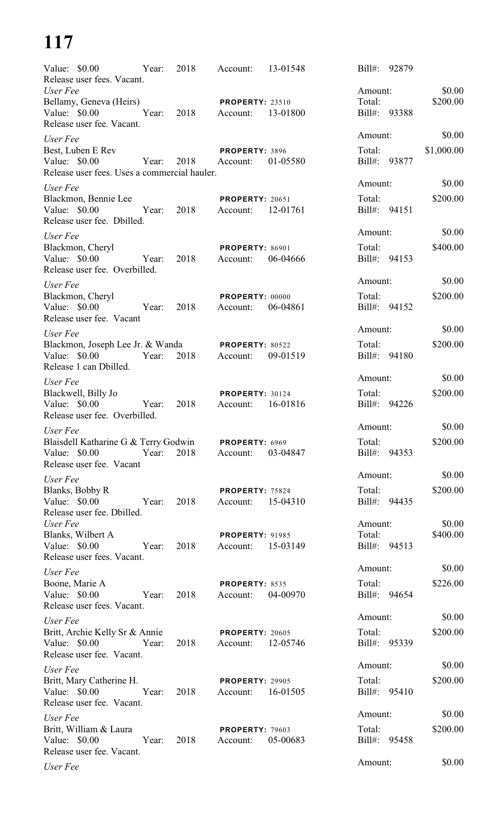| \$0.00<br>Amount:<br>Bellamy, Geneva (Heirs)<br>\$200.00<br>Total:<br><b>PROPERTY: 23510</b><br>Value: $$0.00$<br>2018<br>Year:<br>13-01800<br>Bill#: 93388<br>Account:<br>Release user fee. Vacant.<br>Amount:<br>\$0.00<br>\$1,000.00<br>Best, Luben E Rev<br>Total:<br>PROPERTY: 3896<br>Value: \$0.00<br>Year:<br>2018<br>01-05580<br>Bill#: 93877<br>Account:<br>Release user fees. Uses a commercial hauler.<br>\$0.00<br>Amount:<br>\$200.00<br>Total:<br><b>PROPERTY: 20651</b><br>Value: $$0.00$<br>2018<br>Bill#: 94151<br>Year:<br>12-01761<br>Account:<br>Release user fee. Dbilled.<br>\$0.00<br>Amount:<br>User Fee<br>\$400.00<br>Total:<br>PROPERTY: 86901<br>Value: \$0.00 Year:<br>2018<br>Bill#: 94153<br>Account:<br>06-04666<br>Release user fee. Overbilled.<br>\$0.00<br>Amount:<br>\$200.00<br>Total:<br><b>PROPERTY: 00000</b><br>Value: \$0.00 Year:<br>2018<br>Bill#: 94152<br>Account:<br>06-04861<br>Release user fee. Vacant<br>\$0.00<br>Amount:<br>\$200.00<br>Blackmon, Joseph Lee Jr. & Wanda<br>Total:<br><b>PROPERTY: 80522</b><br>Value: \$0.00 Year:<br>2018<br>Bill#: 94180<br>Account:<br>09-01519<br>Release 1 can Dbilled.<br>\$0.00<br>Amount:<br>\$200.00<br>Total:<br><b>PROPERTY: 30124</b><br>Year:<br>Value: \$0.00<br>2018<br>16-01816<br>$Bill#$ :<br>94226<br>Account:<br>Release user fee. Overbilled.<br>\$0.00<br>Amount:<br>\$200.00<br>Blaisdell Katharine G & Terry Godwin PROPERTY: 6969<br>Total:<br>Account: 03-04847<br>2018<br>Year:<br>Value: \$0.00<br>Bill#: 94353<br>Release user fee. Vacant<br>\$0.00<br>Amount:<br>\$200.00<br>Total:<br>PROPERTY: 75824<br>Value: \$0.00<br>Year:<br>2018<br>Account: 15-04310<br>Bill#: 94435<br>Release user fee. Dbilled.<br>\$0.00<br>Amount:<br>Total:<br>\$400.00<br><b>PROPERTY: 91985</b><br>Value: \$0.00<br>2018<br>15-03149<br>Bill#: 94513<br>Year:<br>Account:<br>Release user fees. Vacant.<br>\$0.00<br>Amount:<br>Total:<br>\$226.00<br>PROPERTY: 8535<br>Value: \$0.00<br>2018<br>04-00970<br>Bill#: 94654<br>Year:<br>Account:<br>Release user fees. Vacant.<br>\$0.00<br>Amount:<br>Britt, Archie Kelly Sr & Annie<br>Total:<br>\$200.00<br><b>PROPERTY: 20605</b><br>Value: \$0.00<br>Year:<br>2018<br>12-05746<br>Bill#: 95339<br>Account:<br>Release user fee. Vacant.<br>\$0.00<br>Amount:<br>Britt, Mary Catherine H.<br>\$200.00<br>Total:<br><b>PROPERTY: 29905</b><br>Value: \$0.00<br>Year:<br>2018<br>Account: 16-01505<br>Bill#: 95410<br>Release user fee. Vacant.<br>\$0.00<br>Amount:<br>\$200.00<br>Total:<br>PROPERTY: 79603<br>Value: \$0.00<br>Year:<br>2018<br>05-00683<br>Bill#: 95458<br>Account: | Value: \$0.00<br>Year:<br>Release user fees. Vacant. | 2018 | Account: | 13-01548 | $Bill#$ : | 92879 |  |
|-------------------------------------------------------------------------------------------------------------------------------------------------------------------------------------------------------------------------------------------------------------------------------------------------------------------------------------------------------------------------------------------------------------------------------------------------------------------------------------------------------------------------------------------------------------------------------------------------------------------------------------------------------------------------------------------------------------------------------------------------------------------------------------------------------------------------------------------------------------------------------------------------------------------------------------------------------------------------------------------------------------------------------------------------------------------------------------------------------------------------------------------------------------------------------------------------------------------------------------------------------------------------------------------------------------------------------------------------------------------------------------------------------------------------------------------------------------------------------------------------------------------------------------------------------------------------------------------------------------------------------------------------------------------------------------------------------------------------------------------------------------------------------------------------------------------------------------------------------------------------------------------------------------------------------------------------------------------------------------------------------------------------------------------------------------------------------------------------------------------------------------------------------------------------------------------------------------------------------------------------------------------------------------------------------------------------------------------------------------------------------------------------------------------------------------------------------------------------------------------------------------------------------------------------------------------------------------------------------------------------------------------------|------------------------------------------------------|------|----------|----------|-----------|-------|--|
|                                                                                                                                                                                                                                                                                                                                                                                                                                                                                                                                                                                                                                                                                                                                                                                                                                                                                                                                                                                                                                                                                                                                                                                                                                                                                                                                                                                                                                                                                                                                                                                                                                                                                                                                                                                                                                                                                                                                                                                                                                                                                                                                                                                                                                                                                                                                                                                                                                                                                                                                                                                                                                                 | User Fee                                             |      |          |          |           |       |  |
|                                                                                                                                                                                                                                                                                                                                                                                                                                                                                                                                                                                                                                                                                                                                                                                                                                                                                                                                                                                                                                                                                                                                                                                                                                                                                                                                                                                                                                                                                                                                                                                                                                                                                                                                                                                                                                                                                                                                                                                                                                                                                                                                                                                                                                                                                                                                                                                                                                                                                                                                                                                                                                                 |                                                      |      |          |          |           |       |  |
|                                                                                                                                                                                                                                                                                                                                                                                                                                                                                                                                                                                                                                                                                                                                                                                                                                                                                                                                                                                                                                                                                                                                                                                                                                                                                                                                                                                                                                                                                                                                                                                                                                                                                                                                                                                                                                                                                                                                                                                                                                                                                                                                                                                                                                                                                                                                                                                                                                                                                                                                                                                                                                                 |                                                      |      |          |          |           |       |  |
|                                                                                                                                                                                                                                                                                                                                                                                                                                                                                                                                                                                                                                                                                                                                                                                                                                                                                                                                                                                                                                                                                                                                                                                                                                                                                                                                                                                                                                                                                                                                                                                                                                                                                                                                                                                                                                                                                                                                                                                                                                                                                                                                                                                                                                                                                                                                                                                                                                                                                                                                                                                                                                                 | User Fee                                             |      |          |          |           |       |  |
|                                                                                                                                                                                                                                                                                                                                                                                                                                                                                                                                                                                                                                                                                                                                                                                                                                                                                                                                                                                                                                                                                                                                                                                                                                                                                                                                                                                                                                                                                                                                                                                                                                                                                                                                                                                                                                                                                                                                                                                                                                                                                                                                                                                                                                                                                                                                                                                                                                                                                                                                                                                                                                                 |                                                      |      |          |          |           |       |  |
|                                                                                                                                                                                                                                                                                                                                                                                                                                                                                                                                                                                                                                                                                                                                                                                                                                                                                                                                                                                                                                                                                                                                                                                                                                                                                                                                                                                                                                                                                                                                                                                                                                                                                                                                                                                                                                                                                                                                                                                                                                                                                                                                                                                                                                                                                                                                                                                                                                                                                                                                                                                                                                                 |                                                      |      |          |          |           |       |  |
|                                                                                                                                                                                                                                                                                                                                                                                                                                                                                                                                                                                                                                                                                                                                                                                                                                                                                                                                                                                                                                                                                                                                                                                                                                                                                                                                                                                                                                                                                                                                                                                                                                                                                                                                                                                                                                                                                                                                                                                                                                                                                                                                                                                                                                                                                                                                                                                                                                                                                                                                                                                                                                                 | User Fee                                             |      |          |          |           |       |  |
|                                                                                                                                                                                                                                                                                                                                                                                                                                                                                                                                                                                                                                                                                                                                                                                                                                                                                                                                                                                                                                                                                                                                                                                                                                                                                                                                                                                                                                                                                                                                                                                                                                                                                                                                                                                                                                                                                                                                                                                                                                                                                                                                                                                                                                                                                                                                                                                                                                                                                                                                                                                                                                                 | Blackmon, Bennie Lee                                 |      |          |          |           |       |  |
|                                                                                                                                                                                                                                                                                                                                                                                                                                                                                                                                                                                                                                                                                                                                                                                                                                                                                                                                                                                                                                                                                                                                                                                                                                                                                                                                                                                                                                                                                                                                                                                                                                                                                                                                                                                                                                                                                                                                                                                                                                                                                                                                                                                                                                                                                                                                                                                                                                                                                                                                                                                                                                                 |                                                      |      |          |          |           |       |  |
|                                                                                                                                                                                                                                                                                                                                                                                                                                                                                                                                                                                                                                                                                                                                                                                                                                                                                                                                                                                                                                                                                                                                                                                                                                                                                                                                                                                                                                                                                                                                                                                                                                                                                                                                                                                                                                                                                                                                                                                                                                                                                                                                                                                                                                                                                                                                                                                                                                                                                                                                                                                                                                                 |                                                      |      |          |          |           |       |  |
|                                                                                                                                                                                                                                                                                                                                                                                                                                                                                                                                                                                                                                                                                                                                                                                                                                                                                                                                                                                                                                                                                                                                                                                                                                                                                                                                                                                                                                                                                                                                                                                                                                                                                                                                                                                                                                                                                                                                                                                                                                                                                                                                                                                                                                                                                                                                                                                                                                                                                                                                                                                                                                                 | Blackmon, Cheryl                                     |      |          |          |           |       |  |
|                                                                                                                                                                                                                                                                                                                                                                                                                                                                                                                                                                                                                                                                                                                                                                                                                                                                                                                                                                                                                                                                                                                                                                                                                                                                                                                                                                                                                                                                                                                                                                                                                                                                                                                                                                                                                                                                                                                                                                                                                                                                                                                                                                                                                                                                                                                                                                                                                                                                                                                                                                                                                                                 |                                                      |      |          |          |           |       |  |
|                                                                                                                                                                                                                                                                                                                                                                                                                                                                                                                                                                                                                                                                                                                                                                                                                                                                                                                                                                                                                                                                                                                                                                                                                                                                                                                                                                                                                                                                                                                                                                                                                                                                                                                                                                                                                                                                                                                                                                                                                                                                                                                                                                                                                                                                                                                                                                                                                                                                                                                                                                                                                                                 | User Fee                                             |      |          |          |           |       |  |
|                                                                                                                                                                                                                                                                                                                                                                                                                                                                                                                                                                                                                                                                                                                                                                                                                                                                                                                                                                                                                                                                                                                                                                                                                                                                                                                                                                                                                                                                                                                                                                                                                                                                                                                                                                                                                                                                                                                                                                                                                                                                                                                                                                                                                                                                                                                                                                                                                                                                                                                                                                                                                                                 | Blackmon, Cheryl                                     |      |          |          |           |       |  |
|                                                                                                                                                                                                                                                                                                                                                                                                                                                                                                                                                                                                                                                                                                                                                                                                                                                                                                                                                                                                                                                                                                                                                                                                                                                                                                                                                                                                                                                                                                                                                                                                                                                                                                                                                                                                                                                                                                                                                                                                                                                                                                                                                                                                                                                                                                                                                                                                                                                                                                                                                                                                                                                 |                                                      |      |          |          |           |       |  |
|                                                                                                                                                                                                                                                                                                                                                                                                                                                                                                                                                                                                                                                                                                                                                                                                                                                                                                                                                                                                                                                                                                                                                                                                                                                                                                                                                                                                                                                                                                                                                                                                                                                                                                                                                                                                                                                                                                                                                                                                                                                                                                                                                                                                                                                                                                                                                                                                                                                                                                                                                                                                                                                 | User Fee                                             |      |          |          |           |       |  |
|                                                                                                                                                                                                                                                                                                                                                                                                                                                                                                                                                                                                                                                                                                                                                                                                                                                                                                                                                                                                                                                                                                                                                                                                                                                                                                                                                                                                                                                                                                                                                                                                                                                                                                                                                                                                                                                                                                                                                                                                                                                                                                                                                                                                                                                                                                                                                                                                                                                                                                                                                                                                                                                 |                                                      |      |          |          |           |       |  |
|                                                                                                                                                                                                                                                                                                                                                                                                                                                                                                                                                                                                                                                                                                                                                                                                                                                                                                                                                                                                                                                                                                                                                                                                                                                                                                                                                                                                                                                                                                                                                                                                                                                                                                                                                                                                                                                                                                                                                                                                                                                                                                                                                                                                                                                                                                                                                                                                                                                                                                                                                                                                                                                 |                                                      |      |          |          |           |       |  |
|                                                                                                                                                                                                                                                                                                                                                                                                                                                                                                                                                                                                                                                                                                                                                                                                                                                                                                                                                                                                                                                                                                                                                                                                                                                                                                                                                                                                                                                                                                                                                                                                                                                                                                                                                                                                                                                                                                                                                                                                                                                                                                                                                                                                                                                                                                                                                                                                                                                                                                                                                                                                                                                 | User Fee                                             |      |          |          |           |       |  |
|                                                                                                                                                                                                                                                                                                                                                                                                                                                                                                                                                                                                                                                                                                                                                                                                                                                                                                                                                                                                                                                                                                                                                                                                                                                                                                                                                                                                                                                                                                                                                                                                                                                                                                                                                                                                                                                                                                                                                                                                                                                                                                                                                                                                                                                                                                                                                                                                                                                                                                                                                                                                                                                 | Blackwell, Billy Jo                                  |      |          |          |           |       |  |
|                                                                                                                                                                                                                                                                                                                                                                                                                                                                                                                                                                                                                                                                                                                                                                                                                                                                                                                                                                                                                                                                                                                                                                                                                                                                                                                                                                                                                                                                                                                                                                                                                                                                                                                                                                                                                                                                                                                                                                                                                                                                                                                                                                                                                                                                                                                                                                                                                                                                                                                                                                                                                                                 |                                                      |      |          |          |           |       |  |
|                                                                                                                                                                                                                                                                                                                                                                                                                                                                                                                                                                                                                                                                                                                                                                                                                                                                                                                                                                                                                                                                                                                                                                                                                                                                                                                                                                                                                                                                                                                                                                                                                                                                                                                                                                                                                                                                                                                                                                                                                                                                                                                                                                                                                                                                                                                                                                                                                                                                                                                                                                                                                                                 | User Fee                                             |      |          |          |           |       |  |
|                                                                                                                                                                                                                                                                                                                                                                                                                                                                                                                                                                                                                                                                                                                                                                                                                                                                                                                                                                                                                                                                                                                                                                                                                                                                                                                                                                                                                                                                                                                                                                                                                                                                                                                                                                                                                                                                                                                                                                                                                                                                                                                                                                                                                                                                                                                                                                                                                                                                                                                                                                                                                                                 |                                                      |      |          |          |           |       |  |
|                                                                                                                                                                                                                                                                                                                                                                                                                                                                                                                                                                                                                                                                                                                                                                                                                                                                                                                                                                                                                                                                                                                                                                                                                                                                                                                                                                                                                                                                                                                                                                                                                                                                                                                                                                                                                                                                                                                                                                                                                                                                                                                                                                                                                                                                                                                                                                                                                                                                                                                                                                                                                                                 |                                                      |      |          |          |           |       |  |
|                                                                                                                                                                                                                                                                                                                                                                                                                                                                                                                                                                                                                                                                                                                                                                                                                                                                                                                                                                                                                                                                                                                                                                                                                                                                                                                                                                                                                                                                                                                                                                                                                                                                                                                                                                                                                                                                                                                                                                                                                                                                                                                                                                                                                                                                                                                                                                                                                                                                                                                                                                                                                                                 | User Fee                                             |      |          |          |           |       |  |
|                                                                                                                                                                                                                                                                                                                                                                                                                                                                                                                                                                                                                                                                                                                                                                                                                                                                                                                                                                                                                                                                                                                                                                                                                                                                                                                                                                                                                                                                                                                                                                                                                                                                                                                                                                                                                                                                                                                                                                                                                                                                                                                                                                                                                                                                                                                                                                                                                                                                                                                                                                                                                                                 | Blanks, Bobby R                                      |      |          |          |           |       |  |
|                                                                                                                                                                                                                                                                                                                                                                                                                                                                                                                                                                                                                                                                                                                                                                                                                                                                                                                                                                                                                                                                                                                                                                                                                                                                                                                                                                                                                                                                                                                                                                                                                                                                                                                                                                                                                                                                                                                                                                                                                                                                                                                                                                                                                                                                                                                                                                                                                                                                                                                                                                                                                                                 |                                                      |      |          |          |           |       |  |
|                                                                                                                                                                                                                                                                                                                                                                                                                                                                                                                                                                                                                                                                                                                                                                                                                                                                                                                                                                                                                                                                                                                                                                                                                                                                                                                                                                                                                                                                                                                                                                                                                                                                                                                                                                                                                                                                                                                                                                                                                                                                                                                                                                                                                                                                                                                                                                                                                                                                                                                                                                                                                                                 | User Fee                                             |      |          |          |           |       |  |
|                                                                                                                                                                                                                                                                                                                                                                                                                                                                                                                                                                                                                                                                                                                                                                                                                                                                                                                                                                                                                                                                                                                                                                                                                                                                                                                                                                                                                                                                                                                                                                                                                                                                                                                                                                                                                                                                                                                                                                                                                                                                                                                                                                                                                                                                                                                                                                                                                                                                                                                                                                                                                                                 | Blanks, Wilbert A                                    |      |          |          |           |       |  |
|                                                                                                                                                                                                                                                                                                                                                                                                                                                                                                                                                                                                                                                                                                                                                                                                                                                                                                                                                                                                                                                                                                                                                                                                                                                                                                                                                                                                                                                                                                                                                                                                                                                                                                                                                                                                                                                                                                                                                                                                                                                                                                                                                                                                                                                                                                                                                                                                                                                                                                                                                                                                                                                 |                                                      |      |          |          |           |       |  |
|                                                                                                                                                                                                                                                                                                                                                                                                                                                                                                                                                                                                                                                                                                                                                                                                                                                                                                                                                                                                                                                                                                                                                                                                                                                                                                                                                                                                                                                                                                                                                                                                                                                                                                                                                                                                                                                                                                                                                                                                                                                                                                                                                                                                                                                                                                                                                                                                                                                                                                                                                                                                                                                 | User Fee                                             |      |          |          |           |       |  |
|                                                                                                                                                                                                                                                                                                                                                                                                                                                                                                                                                                                                                                                                                                                                                                                                                                                                                                                                                                                                                                                                                                                                                                                                                                                                                                                                                                                                                                                                                                                                                                                                                                                                                                                                                                                                                                                                                                                                                                                                                                                                                                                                                                                                                                                                                                                                                                                                                                                                                                                                                                                                                                                 | Boone, Marie A                                       |      |          |          |           |       |  |
|                                                                                                                                                                                                                                                                                                                                                                                                                                                                                                                                                                                                                                                                                                                                                                                                                                                                                                                                                                                                                                                                                                                                                                                                                                                                                                                                                                                                                                                                                                                                                                                                                                                                                                                                                                                                                                                                                                                                                                                                                                                                                                                                                                                                                                                                                                                                                                                                                                                                                                                                                                                                                                                 |                                                      |      |          |          |           |       |  |
|                                                                                                                                                                                                                                                                                                                                                                                                                                                                                                                                                                                                                                                                                                                                                                                                                                                                                                                                                                                                                                                                                                                                                                                                                                                                                                                                                                                                                                                                                                                                                                                                                                                                                                                                                                                                                                                                                                                                                                                                                                                                                                                                                                                                                                                                                                                                                                                                                                                                                                                                                                                                                                                 | User Fee                                             |      |          |          |           |       |  |
|                                                                                                                                                                                                                                                                                                                                                                                                                                                                                                                                                                                                                                                                                                                                                                                                                                                                                                                                                                                                                                                                                                                                                                                                                                                                                                                                                                                                                                                                                                                                                                                                                                                                                                                                                                                                                                                                                                                                                                                                                                                                                                                                                                                                                                                                                                                                                                                                                                                                                                                                                                                                                                                 |                                                      |      |          |          |           |       |  |
|                                                                                                                                                                                                                                                                                                                                                                                                                                                                                                                                                                                                                                                                                                                                                                                                                                                                                                                                                                                                                                                                                                                                                                                                                                                                                                                                                                                                                                                                                                                                                                                                                                                                                                                                                                                                                                                                                                                                                                                                                                                                                                                                                                                                                                                                                                                                                                                                                                                                                                                                                                                                                                                 |                                                      |      |          |          |           |       |  |
|                                                                                                                                                                                                                                                                                                                                                                                                                                                                                                                                                                                                                                                                                                                                                                                                                                                                                                                                                                                                                                                                                                                                                                                                                                                                                                                                                                                                                                                                                                                                                                                                                                                                                                                                                                                                                                                                                                                                                                                                                                                                                                                                                                                                                                                                                                                                                                                                                                                                                                                                                                                                                                                 | User Fee                                             |      |          |          |           |       |  |
|                                                                                                                                                                                                                                                                                                                                                                                                                                                                                                                                                                                                                                                                                                                                                                                                                                                                                                                                                                                                                                                                                                                                                                                                                                                                                                                                                                                                                                                                                                                                                                                                                                                                                                                                                                                                                                                                                                                                                                                                                                                                                                                                                                                                                                                                                                                                                                                                                                                                                                                                                                                                                                                 |                                                      |      |          |          |           |       |  |
|                                                                                                                                                                                                                                                                                                                                                                                                                                                                                                                                                                                                                                                                                                                                                                                                                                                                                                                                                                                                                                                                                                                                                                                                                                                                                                                                                                                                                                                                                                                                                                                                                                                                                                                                                                                                                                                                                                                                                                                                                                                                                                                                                                                                                                                                                                                                                                                                                                                                                                                                                                                                                                                 |                                                      |      |          |          |           |       |  |
|                                                                                                                                                                                                                                                                                                                                                                                                                                                                                                                                                                                                                                                                                                                                                                                                                                                                                                                                                                                                                                                                                                                                                                                                                                                                                                                                                                                                                                                                                                                                                                                                                                                                                                                                                                                                                                                                                                                                                                                                                                                                                                                                                                                                                                                                                                                                                                                                                                                                                                                                                                                                                                                 | User Fee                                             |      |          |          |           |       |  |
|                                                                                                                                                                                                                                                                                                                                                                                                                                                                                                                                                                                                                                                                                                                                                                                                                                                                                                                                                                                                                                                                                                                                                                                                                                                                                                                                                                                                                                                                                                                                                                                                                                                                                                                                                                                                                                                                                                                                                                                                                                                                                                                                                                                                                                                                                                                                                                                                                                                                                                                                                                                                                                                 | Britt, William & Laura                               |      |          |          |           |       |  |
|                                                                                                                                                                                                                                                                                                                                                                                                                                                                                                                                                                                                                                                                                                                                                                                                                                                                                                                                                                                                                                                                                                                                                                                                                                                                                                                                                                                                                                                                                                                                                                                                                                                                                                                                                                                                                                                                                                                                                                                                                                                                                                                                                                                                                                                                                                                                                                                                                                                                                                                                                                                                                                                 | Release user fee. Vacant.                            |      |          |          |           |       |  |
| \$0.00<br>Amount:                                                                                                                                                                                                                                                                                                                                                                                                                                                                                                                                                                                                                                                                                                                                                                                                                                                                                                                                                                                                                                                                                                                                                                                                                                                                                                                                                                                                                                                                                                                                                                                                                                                                                                                                                                                                                                                                                                                                                                                                                                                                                                                                                                                                                                                                                                                                                                                                                                                                                                                                                                                                                               | User Fee                                             |      |          |          |           |       |  |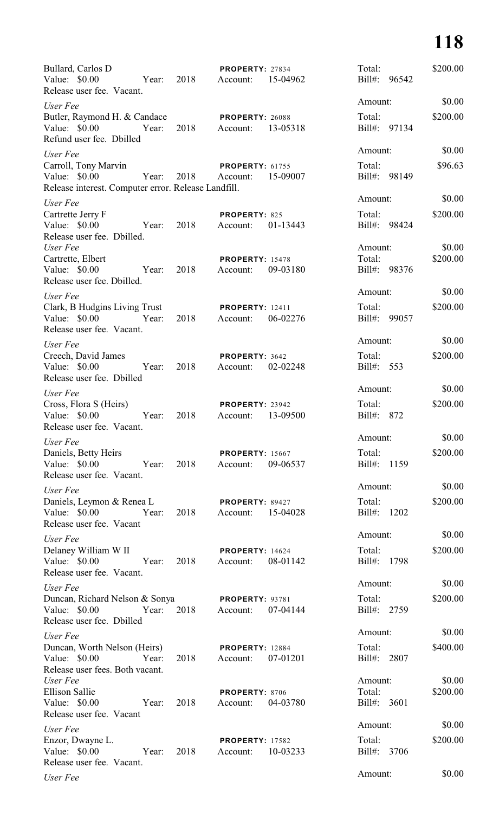| Bullard, Carlos D<br>Value: \$0.00<br>Release user fee. Vacant.                                                   | Year: | 2018 | PROPERTY: 27834<br>Account:        | 15-04962 | Total:                           | Bill#: 96542 | \$200.00           |
|-------------------------------------------------------------------------------------------------------------------|-------|------|------------------------------------|----------|----------------------------------|--------------|--------------------|
| User Fee                                                                                                          |       |      |                                    |          | Amount:                          |              | \$0.00             |
| Butler, Raymond H. & Candace<br>Value: $$0.00$                                                                    | Year: | 2018 | <b>PROPERTY: 26088</b><br>Account: | 13-05318 | Total:                           | Bill#: 97134 | \$200.00           |
| Refund user fee. Dbilled                                                                                          |       |      |                                    |          | Amount:                          |              | \$0.00             |
| User Fee<br>Carroll, Tony Marvin<br>Value: \$0.00                                                                 | Year: | 2018 | <b>PROPERTY: 61755</b><br>Account: | 15-09007 | Total:                           | Bill#: 98149 | \$96.63            |
| Release interest. Computer error. Release Landfill.                                                               |       |      |                                    |          |                                  |              |                    |
| User Fee<br>Cartrette Jerry F<br>Value: \$0.00                                                                    | Year: | 2018 | <b>PROPERTY: 825</b><br>Account:   | 01-13443 | Amount:<br>Total:                | Bill#: 98424 | \$0.00<br>\$200.00 |
| Release user fee. Dbilled.<br>User Fee<br>Cartrette, Elbert<br>Value: \$0.00<br>Release user fee. Dbilled.        | Year: | 2018 | <b>PROPERTY: 15478</b><br>Account: | 09-03180 | Amount:<br>Total:                | Bill#: 98376 | \$0.00<br>\$200.00 |
|                                                                                                                   |       |      |                                    |          | Amount:                          |              | \$0.00             |
| User Fee<br>Clark, B Hudgins Living Trust<br>Value: \$0.00<br>Release user fee. Vacant.                           | Year: | 2018 | <b>PROPERTY: 12411</b><br>Account: | 06-02276 | Total:<br>Bill#:                 | 99057        | \$200.00           |
| User Fee                                                                                                          |       |      |                                    |          | Amount:                          |              | \$0.00             |
| Creech, David James<br>Value: \$0.00<br>Release user fee. Dbilled                                                 | Year: | 2018 | PROPERTY: 3642<br>Account:         | 02-02248 | Total:<br>Bill#: 553             |              | \$200.00           |
|                                                                                                                   |       |      |                                    |          | Amount:                          |              | \$0.00             |
| User Fee<br>Cross, Flora S (Heirs)<br>Value: \$0.00<br>Release user fee. Vacant.                                  | Year: | 2018 | PROPERTY: 23942<br>Account:        | 13-09500 | Total:<br>Bill#:                 | 872          | \$200.00           |
| User Fee                                                                                                          |       |      |                                    |          | Amount:                          |              | \$0.00             |
| Daniels, Betty Heirs<br>Value: \$0.00<br>Release user fee. Vacant.                                                | Year: | 2018 | <b>PROPERTY: 15667</b><br>Account: | 09-06537 | Total:<br>Bill#:                 | 1159         | \$200.00           |
| User Fee                                                                                                          |       |      |                                    |          | Amount:                          |              | \$0.00             |
| Daniels, Leymon & Renea L<br>Value: \$0.00<br>Release user fee. Vacant                                            | Year: | 2018 | PROPERTY: 89427<br>Account:        | 15-04028 | Total:<br>Bill#:                 | 1202         | \$200.00           |
| User Fee                                                                                                          |       |      |                                    |          | Amount:                          |              | \$0.00             |
| Delaney William W II<br>Value: \$0.00<br>Release user fee. Vacant.                                                | Year: | 2018 | <b>PROPERTY: 14624</b><br>Account: | 08-01142 | Total:<br>Bill#: 1798            |              | \$200.00           |
| User Fee                                                                                                          |       |      |                                    |          | Amount:                          |              | \$0.00             |
| Duncan, Richard Nelson & Sonya<br>Value: \$0.00<br>Release user fee. Dbilled                                      | Year: | 2018 | <b>PROPERTY: 93781</b><br>Account: | 07-04144 | Total:<br>Bill#: 2759            |              | \$200.00           |
|                                                                                                                   |       |      |                                    |          | Amount:                          |              | \$0.00             |
| User Fee<br>Duncan, Worth Nelson (Heirs)<br>Value: \$0.00                                                         | Year: | 2018 | <b>PROPERTY: 12884</b><br>Account: | 07-01201 | Total:<br>Bill#: 2807            |              | \$400.00           |
| Release user fees. Both vacant.<br>User Fee<br><b>Ellison Sallie</b><br>Value: \$0.00<br>Release user fee. Vacant | Year: | 2018 | PROPERTY: 8706<br>Account:         | 04-03780 | Amount:<br>Total:<br>Bill#: 3601 |              | \$0.00<br>\$200.00 |
| User Fee                                                                                                          |       |      |                                    |          | Amount:                          |              | \$0.00             |
| Enzor, Dwayne L.<br>Value: \$0.00<br>Release user fee. Vacant.                                                    | Year: | 2018 | <b>PROPERTY: 17582</b><br>Account: | 10-03233 | Total:<br>$Bill#$ :              | 3706         | \$200.00           |
| User Fee                                                                                                          |       |      |                                    |          | Amount:                          |              | \$0.00             |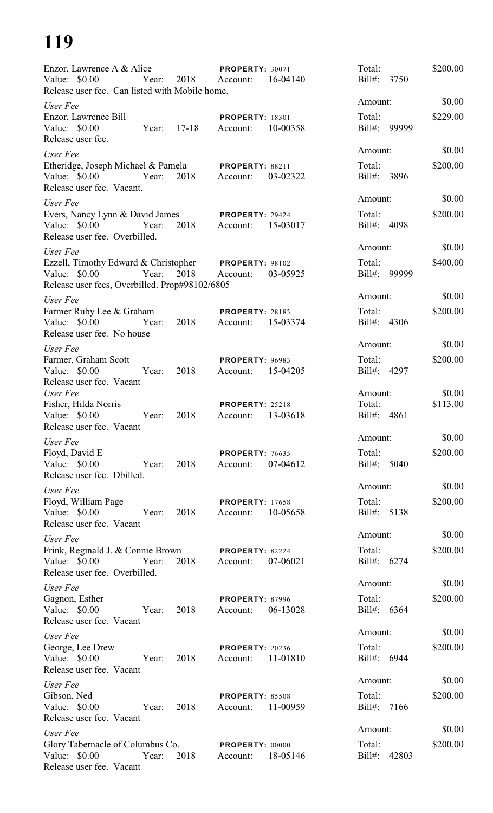| Enzor, Lawrence A & Alice<br>Value: $$0.00$<br>Release user fee. Can listed with Mobile home.                            | Year: | 2018      | <b>PROPERTY: 30071</b><br>Account: | 16-04140 | Total:<br>Bill#:               | 3750  | \$200.00           |
|--------------------------------------------------------------------------------------------------------------------------|-------|-----------|------------------------------------|----------|--------------------------------|-------|--------------------|
| User Fee                                                                                                                 |       |           |                                    |          | Amount:                        |       | \$0.00             |
| Enzor, Lawrence Bill<br>Value: \$0.00<br>Release user fee.                                                               | Year: | $17 - 18$ | <b>PROPERTY: 18301</b><br>Account: | 10-00358 | Total:<br>$Bill#$ :            | 99999 | \$229.00           |
| User Fee                                                                                                                 |       |           |                                    |          | Amount:                        |       | \$0.00             |
| Etheridge, Joseph Michael & Pamela<br>Value: $$0.00$<br>Release user fee. Vacant.                                        | Year: | 2018      | <b>PROPERTY: 88211</b><br>Account: | 03-02322 | Total:<br>Bill#:               | 3896  | \$200.00           |
| User Fee                                                                                                                 |       |           |                                    |          | Amount:                        |       | \$0.00             |
| Evers, Nancy Lynn & David James<br>Value: $$0.00$<br>Release user fee. Overbilled.                                       | Year: | 2018      | PROPERTY: 29424<br>Account:        | 15-03017 | Total:<br>$Bill#$ :            | 4098  | \$200.00           |
| User Fee                                                                                                                 |       |           |                                    |          | Amount:                        |       | \$0.00             |
| Ezzell, Timothy Edward & Christopher PROPERTY: 98102<br>Value: $$0.00$<br>Release user fees, Overbilled. Prop#98102/6805 | Year: | 2018      | Account:                           | 03-05925 | Total:<br>$Bill#$ :            | 99999 | \$400.00           |
| User Fee                                                                                                                 |       |           |                                    |          | Amount:                        |       | \$0.00             |
| Farmer Ruby Lee & Graham<br>Value: \$0.00<br>Release user fee. No house                                                  | Year: | 2018      | <b>PROPERTY: 28183</b><br>Account: | 15-03374 | Total:<br>Bill#:               | 4306  | \$200.00           |
| User Fee                                                                                                                 |       |           |                                    |          | Amount:                        |       | \$0.00             |
| Farmer, Graham Scott<br>Value: \$0.00<br>Release user fee. Vacant                                                        | Year: | 2018      | PROPERTY: 96983<br>Account:        | 15-04205 | Total:<br>Bill#: 4297          |       | \$200.00           |
| User Fee<br>Fisher, Hilda Norris<br>Value: \$0.00<br>Release user fee. Vacant                                            | Year: | 2018      | <b>PROPERTY: 25218</b><br>Account: | 13-03618 | Amount:<br>Total:<br>$Bill#$ : | 4861  | \$0.00<br>\$113.00 |
| User Fee                                                                                                                 |       |           |                                    |          | Amount:                        |       | \$0.00             |
| Floyd, David E<br>Value: $$0.00$<br>Release user fee. Dbilled.                                                           | Year: | 2018      | <b>PROPERTY: 76635</b><br>Account: | 07-04612 | Total:<br>Bill#: 5040          |       | \$200.00           |
| User Fee                                                                                                                 |       |           |                                    |          | Amount:                        |       | \$0.00             |
| Floyd, William Page<br>Value: \$0.00<br>Release user fee. Vacant                                                         | Year: | 2018      | <b>PROPERTY: 17658</b><br>Account: | 10-05658 | Total:<br>Bill#: 5138          |       | \$200.00           |
| User Fee                                                                                                                 |       |           |                                    |          | Amount:                        |       | \$0.00             |
| Frink, Reginald J. & Connie Brown<br>Value: $$0.00$<br>Release user fee. Overbilled.                                     | Year: | 2018      | <b>PROPERTY: 82224</b><br>Account: | 07-06021 | Total:<br>Bill#: 6274          |       | \$200.00           |
| User Fee                                                                                                                 |       |           |                                    |          | Amount:                        |       | \$0.00             |
| Gagnon, Esther<br>Value: $$0.00$<br>Release user fee. Vacant                                                             | Year: | 2018      | <b>PROPERTY: 87996</b><br>Account: | 06-13028 | Total:<br>Bill#: 6364          |       | \$200.00           |
| User Fee                                                                                                                 |       |           |                                    |          | Amount:                        |       | \$0.00             |
| George, Lee Drew<br>Value: \$0.00<br>Release user fee. Vacant                                                            | Year: | 2018      | PROPERTY: 20236<br>Account:        | 11-01810 | Total:<br>Bill#: 6944          |       | \$200.00           |
| User Fee                                                                                                                 |       |           |                                    |          | Amount:                        |       | \$0.00             |
| Gibson, Ned<br>Value: \$0.00<br>Release user fee. Vacant                                                                 | Year: | 2018      | <b>PROPERTY: 85508</b><br>Account: | 11-00959 | Total:<br>Bill#: 7166          |       | \$200.00           |
| User Fee                                                                                                                 |       |           |                                    |          | Amount:                        |       | \$0.00             |
| Glory Tabernacle of Columbus Co.<br>Value: \$0.00<br>Release user fee. Vacant                                            | Year: | 2018      | PROPERTY: 00000<br>Account:        | 18-05146 | Total:<br>$Bill#$ :            | 42803 | \$200.00           |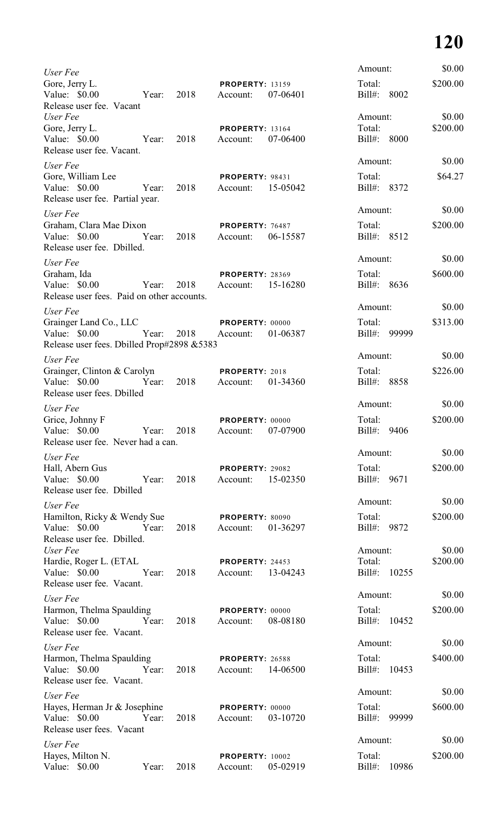| User Fee                                                                               |       |      |                                    |          | Amount:                          |       | \$0.00             |
|----------------------------------------------------------------------------------------|-------|------|------------------------------------|----------|----------------------------------|-------|--------------------|
| Gore, Jerry L.<br>Value: \$0.00<br>Release user fee. Vacant                            | Year: | 2018 | <b>PROPERTY: 13159</b><br>Account: | 07-06401 | Total:<br>Bill#:                 | 8002  | \$200.00           |
| User Fee<br>Gore, Jerry L.<br>Value: \$0.00<br>Year:<br>Release user fee. Vacant.      |       | 2018 | <b>PROPERTY: 13164</b><br>Account: | 07-06400 | Amount:<br>Total:<br>Bill#: 8000 |       | \$0.00<br>\$200.00 |
| User Fee                                                                               |       |      |                                    |          | Amount:                          |       | \$0.00             |
| Gore, William Lee<br>Value: \$0.00<br>Release user fee. Partial year.                  | Year: | 2018 | <b>PROPERTY: 98431</b><br>Account: | 15-05042 | Total:<br>Bill#: 8372            |       | \$64.27            |
| User Fee                                                                               |       |      |                                    |          | Amount:                          |       | \$0.00             |
| Graham, Clara Mae Dixon<br>Value: \$0.00<br>Release user fee. Dbilled.                 | Year: | 2018 | PROPERTY: 76487<br>Account:        | 06-15587 | Total:<br>Bill#: 8512            |       | \$200.00           |
| User Fee                                                                               |       |      |                                    |          | Amount:                          |       | \$0.00             |
| Graham, Ida<br>Value: \$0.00<br>Release user fees. Paid on other accounts.             | Year: | 2018 | <b>PROPERTY: 28369</b><br>Account: | 15-16280 | Total:<br>Bill#: 8636            |       | \$600.00           |
| User Fee                                                                               |       |      |                                    |          | Amount:                          |       | \$0.00             |
| Grainger Land Co., LLC<br>Value: \$0.00<br>Release user fees. Dbilled Prop#2898 & 5383 | Year: | 2018 | PROPERTY: 00000<br>Account:        | 01-06387 | Total:<br>Bill#: 99999           |       | \$313.00           |
| User Fee                                                                               |       |      |                                    |          | Amount:                          |       | \$0.00             |
| Grainger, Clinton & Carolyn<br>Value: \$0.00<br>Release user fees. Dbilled             | Year: | 2018 | PROPERTY: 2018<br>Account:         | 01-34360 | Total:<br>$Bill#$ :              | 8858  | \$226.00           |
| User Fee                                                                               |       |      |                                    |          | Amount:                          |       | \$0.00             |
| Grice, Johnny F<br>Value: \$0.00<br>Release user fee. Never had a can.                 | Year: | 2018 | PROPERTY: 00000<br>Account:        | 07-07900 | Total:<br>$Bill#$ :              | 9406  | \$200.00           |
| User Fee                                                                               |       |      |                                    |          | Amount:                          |       | \$0.00             |
| Hall, Abern Gus<br>Value: $$0.00$<br>Release user fee. Dbilled                         | Year: | 2018 | PROPERTY: 29082<br>Account:        | 15-02350 | Total:<br>Bill#: 9671            |       | \$200.00           |
| User Fee                                                                               |       |      |                                    |          | Amount:                          |       | \$0.00             |
| Hamilton, Ricky & Wendy Sue<br>Value: \$0.00 Year:<br>Release user fee. Dbilled.       |       | 2018 | PROPERTY: 80090<br>Account:        | 01-36297 | Total:<br>Bill#: 9872            |       | \$200.00           |
| User Fee                                                                               |       |      |                                    |          | Amount:                          |       | \$0.00             |
| Hardie, Roger L. (ETAL<br>Value: \$0.00<br>Release user fee. Vacant.                   | Year: | 2018 | PROPERTY: 24453<br>Account:        | 13-04243 | Total:<br>Bill#: 10255           |       | \$200.00           |
| User Fee                                                                               |       |      |                                    |          | Amount:                          |       | \$0.00             |
| Harmon, Thelma Spaulding<br>Value: \$0.00 Year:<br>Release user fee. Vacant.           |       | 2018 | PROPERTY: 00000<br>Account:        | 08-08180 | Total:<br>Bill#: 10452           |       | \$200.00           |
| User Fee                                                                               |       |      |                                    |          | Amount:                          |       | \$0.00             |
| Harmon, Thelma Spaulding<br>Value: \$0.00 Year:<br>Release user fee. Vacant.           |       | 2018 | PROPERTY: 26588<br>Account:        | 14-06500 | Total:<br>Bill#: 10453           |       | \$400.00           |
| User Fee                                                                               |       |      |                                    |          | Amount:                          |       | \$0.00             |
| Hayes, Herman Jr & Josephine<br>Value: \$0.00<br>Release user fees. Vacant             | Year: | 2018 | PROPERTY: 00000<br>Account:        | 03-10720 | Total:<br>$Bill#$ :              | 99999 | \$600.00           |
| User Fee                                                                               |       |      |                                    |          | Amount:                          |       | \$0.00             |
| Hayes, Milton N.<br>Value: \$0.00                                                      | Year: | 2018 | PROPERTY: 10002<br>Account:        | 05-02919 | Total:<br>Bill#: 10986           |       | \$200.00           |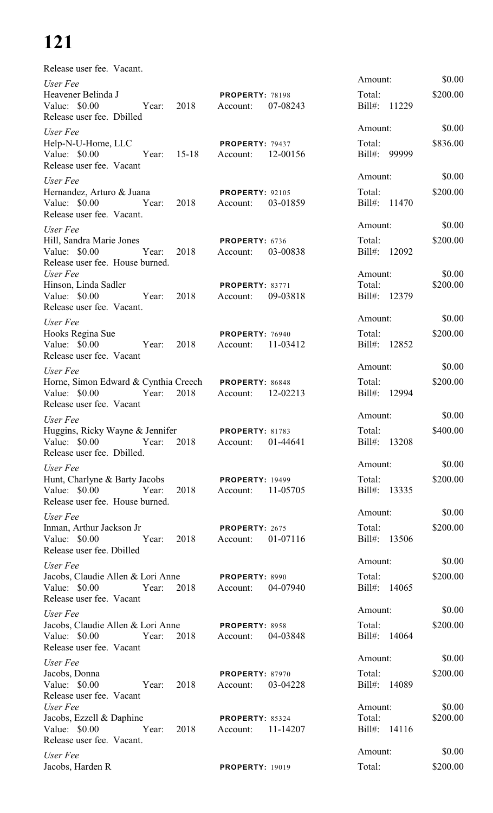| Release user fee. Vacant.                                                                                     |                    |                                                |                                         |                    |
|---------------------------------------------------------------------------------------------------------------|--------------------|------------------------------------------------|-----------------------------------------|--------------------|
| User Fee<br>Heavener Belinda J<br>Value: \$0.00<br>Release user fee. Dbilled                                  | 2018<br>Year:      | <b>PROPERTY: 78198</b><br>07-08243<br>Account: | Amount:<br>Total:<br>Bill#: 11229       | \$0.00<br>\$200.00 |
| User Fee<br>Help-N-U-Home, LLC<br>Value: \$0.00<br>Release user fee. Vacant                                   | $15 - 18$<br>Year: | PROPERTY: 79437<br>12-00156<br>Account:        | Amount:<br>Total:<br>Bill#: 99999       | \$0.00<br>\$836.00 |
| User Fee<br>Hernandez, Arturo & Juana<br>Value: \$0.00 Year:<br>Release user fee. Vacant.                     | 2018               | <b>PROPERTY: 92105</b><br>03-01859<br>Account: | Amount:<br>Total:<br>Bill#: 11470       | \$0.00<br>\$200.00 |
| User Fee<br>Hill, Sandra Marie Jones<br>Value: \$0.00<br>Release user fee. House burned.                      | Year:<br>2018      | PROPERTY: 6736<br>Account:<br>03-00838         | Amount:<br>Total:<br>Bill#: 12092       | \$0.00<br>\$200.00 |
| User Fee<br>Hinson, Linda Sadler<br>Value: $$0.00$<br>Year:<br>Release user fee. Vacant.                      | 2018               | <b>PROPERTY: 83771</b><br>09-03818<br>Account: | Amount:<br>Total:<br>Bill#: 12379       | \$0.00<br>\$200.00 |
| User Fee<br>Hooks Regina Sue<br>Value: \$0.00 Year:<br>Release user fee. Vacant                               | 2018               | PROPERTY: 76940<br>Account: 11-03412           | Amount:<br>Total:<br>Bill#: 12852       | \$0.00<br>\$200.00 |
| User Fee<br>Horne, Simon Edward & Cynthia Creech PROPERTY: 86848<br>Value: \$0.00<br>Release user fee. Vacant | 2018<br>Year:      | 12-02213<br>Account:                           | Amount:<br>Total:<br>Bill#: 12994       | \$0.00<br>\$200.00 |
| User Fee<br>Huggins, Ricky Wayne & Jennifer<br>Value: \$0.00 Year: 2018<br>Release user fee. Dbilled.         |                    | <b>PROPERTY: 81783</b><br>01-44641<br>Account: | Amount:<br>Total:<br>Bill#: 13208       | \$0.00<br>\$400.00 |
| User Fee<br>Hunt, Charlyne & Barty Jacobs<br>Value: \$0.00<br>Year:<br>Release user fee. House burned.        | 2018               | <b>PROPERTY: 19499</b><br>11-05705<br>Account: | Amount:<br>Total:<br>Bill#: 13335       | \$0.00<br>\$200.00 |
| User Fee<br>Inman, Arthur Jackson Jr<br>Value: \$0.00<br>Release user fee. Dbilled                            | Year:<br>2018      | PROPERTY: 2675<br>01-07116<br>Account:         | Amount:<br>Total:<br>Bill#: 13506       | \$0.00<br>\$200.00 |
| User Fee<br>Jacobs, Claudie Allen & Lori Anne<br>Value: \$0.00<br>Year:<br>Release user fee. Vacant           | 2018               | PROPERTY: 8990<br>04-07940<br>Account:         | Amount:<br>Total:<br>Bill#:<br>14065    | \$0.00<br>\$200.00 |
| User Fee<br>Jacobs, Claudie Allen & Lori Anne<br>Value: \$0.00<br>Year:<br>Release user fee. Vacant           | 2018               | <b>PROPERTY: 8958</b><br>04-03848<br>Account:  | Amount:<br>Total:<br>$Bill#$ :<br>14064 | \$0.00<br>\$200.00 |
| User Fee<br>Jacobs, Donna<br>Value: \$0.00<br>Year:<br>Release user fee. Vacant                               | 2018               | PROPERTY: 87970<br>03-04228<br>Account:        | Amount:<br>Total:<br>$Bill#$ :<br>14089 | \$0.00<br>\$200.00 |
| User Fee<br>Jacobs, Ezzell & Daphine<br>Value: \$0.00<br>Year:<br>Release user fee. Vacant.                   | 2018               | PROPERTY: 85324<br>11-14207<br>Account:        | Amount:<br>Total:<br>Bill#: 14116       | \$0.00<br>\$200.00 |
| User Fee<br>Jacobs, Harden R                                                                                  |                    | <b>PROPERTY: 19019</b>                         | Amount:<br>Total:                       | \$0.00<br>\$200.00 |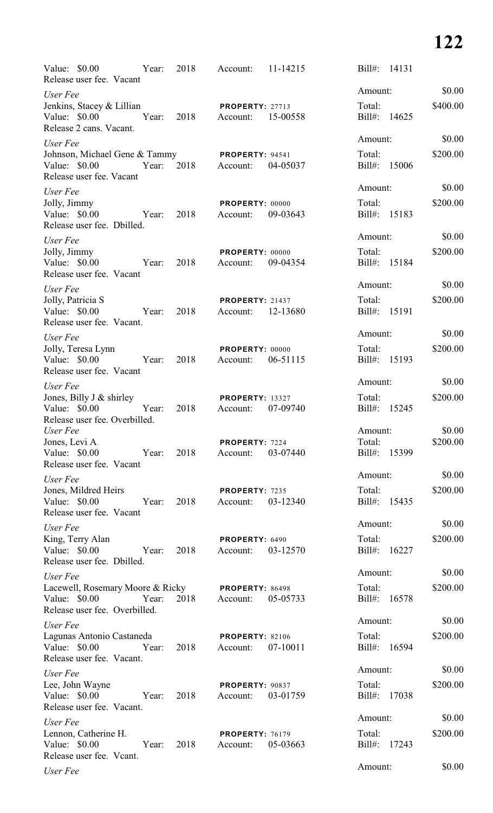| Value: \$0.00<br>Release user fee. Vacant                                                                              | Year: | 2018 | Account:                           | 11-14215 | $Bill#$ :<br>14131        |          |
|------------------------------------------------------------------------------------------------------------------------|-------|------|------------------------------------|----------|---------------------------|----------|
| User Fee                                                                                                               |       |      |                                    |          | Amount:                   | \$0.00   |
| Jenkins, Stacey & Lillian<br>Value: $$0.00$<br>Release 2 cans. Vacant.                                                 | Year: | 2018 | <b>PROPERTY: 27713</b><br>Account: | 15-00558 | Total:<br>Bill#: 14625    | \$400.00 |
| User Fee                                                                                                               |       |      |                                    |          | Amount:                   | \$0.00   |
| Johnson, Michael Gene & Tammy <b>PROPERTY</b> : 94541<br>Value: \$0.00 Year: 2018 Account:<br>Release user fee. Vacant |       |      |                                    | 04-05037 | Total:<br>Bill#:<br>15006 | \$200.00 |
| User Fee                                                                                                               |       |      |                                    |          | Amount:                   | \$0.00   |
| Jolly, Jimmy<br>Value: \$0.00<br>Release user fee. Dbilled.                                                            | Year: | 2018 | PROPERTY: 00000<br>Account:        | 09-03643 | Total:<br>Bill#:<br>15183 | \$200.00 |
| User Fee                                                                                                               |       |      |                                    |          | Amount:                   | \$0.00   |
| Jolly, Jimmy<br>Value: \$0.00<br>Release user fee. Vacant                                                              | Year: | 2018 | PROPERTY: 00000<br>Account:        | 09-04354 | Total:<br>Bill#: 15184    | \$200.00 |
| User Fee                                                                                                               |       |      |                                    |          | Amount:                   | \$0.00   |
| Jolly, Patricia S<br>Value: \$0.00<br>Release user fee. Vacant.                                                        | Year: | 2018 | <b>PROPERTY: 21437</b><br>Account: | 12-13680 | Total:<br>Bill#:<br>15191 | \$200.00 |
| User Fee                                                                                                               |       |      |                                    |          | Amount:                   | \$0.00   |
| Jolly, Teresa Lynn<br>Value: \$0.00<br>Release user fee. Vacant                                                        | Year: | 2018 | PROPERTY: 00000<br>Account:        | 06-51115 | Total:<br>Bill#: 15193    | \$200.00 |
| User Fee                                                                                                               |       |      |                                    |          | Amount:                   | \$0.00   |
| Jones, Billy J & shirley<br>Value: \$0.00<br>Release user fee. Overbilled.                                             | Year: | 2018 | <b>PROPERTY: 13327</b><br>Account: | 07-09740 | Total:<br>Bill#:<br>15245 | \$200.00 |
| User Fee                                                                                                               |       |      |                                    |          | Amount:                   | \$0.00   |
| Jones, Levi A<br>Value: \$0.00<br>Release user fee. Vacant                                                             | Year: | 2018 | PROPERTY: 7224<br>Account:         | 03-07440 | Total:<br>Bill#: 15399    | \$200.00 |
| User Fee                                                                                                               |       |      |                                    |          | Amount:                   | \$0.00   |
| Jones, Mildred Heirs<br>Value: \$0.00<br>Release user fee. Vacant                                                      | Year: | 2018 | PROPERTY: 7235<br>Account:         | 03-12340 | Total:<br>Bill#: 15435    | \$200.00 |
| User Fee                                                                                                               |       |      |                                    |          | Amount:                   | \$0.00   |
| King, Terry Alan<br>Value: \$0.00<br>Release user fee. Dbilled.                                                        | Year: | 2018 | PROPERTY: 6490<br>Account:         | 03-12570 | Total:<br>Bill#: 16227    | \$200.00 |
| User Fee                                                                                                               |       |      |                                    |          | Amount:                   | \$0.00   |
| Lacewell, Rosemary Moore & Ricky PROPERTY: 86498<br>Value: \$0.00<br>Release user fee. Overbilled.                     | Year: | 2018 | Account:                           | 05-05733 | Total:<br>Bill#: 16578    | \$200.00 |
| User Fee                                                                                                               |       |      |                                    |          | Amount:                   | \$0.00   |
| Lagunas Antonio Castaneda<br>Value: \$0.00<br>Release user fee. Vacant.                                                | Year: | 2018 | <b>PROPERTY: 82106</b><br>Account: | 07-10011 | Total:<br>Bill#: 16594    | \$200.00 |
| User Fee                                                                                                               |       |      |                                    |          | Amount:                   | \$0.00   |
| Lee, John Wayne<br>Value: \$0.00<br>Release user fee. Vacant.                                                          | Year: | 2018 | PROPERTY: 90837<br>Account:        | 03-01759 | Total:<br>Bill#: 17038    | \$200.00 |
| User Fee                                                                                                               |       |      |                                    |          | Amount:                   | \$0.00   |
| Lennon, Catherine H.<br>Value: \$0.00<br>Release user fee. Vcant.                                                      | Year: | 2018 | <b>PROPERTY: 76179</b><br>Account: | 05-03663 | Total:<br>Bill#: 17243    | \$200.00 |
| User Fee                                                                                                               |       |      |                                    |          | Amount:                   | \$0.00   |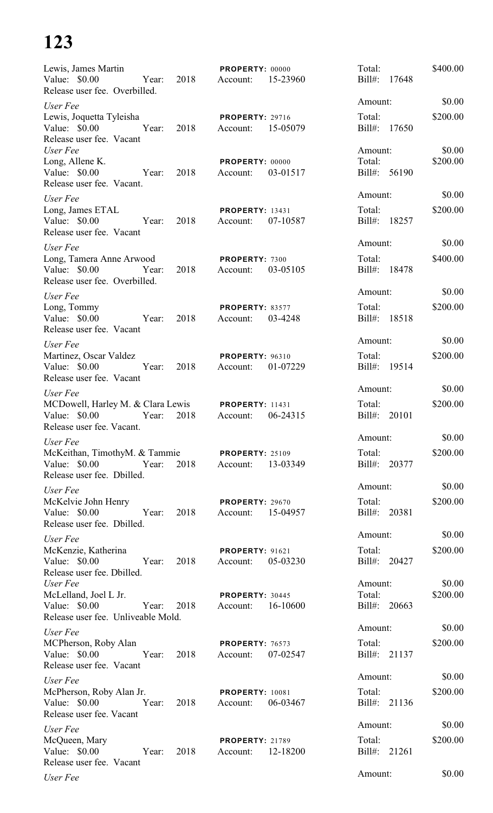| Lewis, James Martin                                                                                              | <b>PROPERTY: 00000</b>                         | Total:                            | \$400.00           |
|------------------------------------------------------------------------------------------------------------------|------------------------------------------------|-----------------------------------|--------------------|
| Value: \$0.00<br>2018<br>Year:<br>Release user fee. Overbilled.                                                  | Account:<br>15-23960                           | Bill#:<br>17648                   |                    |
| User Fee                                                                                                         |                                                | Amount:                           | \$0.00             |
| Lewis, Joquetta Tyleisha<br>Value: \$0.00<br>Year:<br>2018<br>Release user fee. Vacant                           | <b>PROPERTY: 29716</b><br>15-05079<br>Account: | Total:<br>Bill#: 17650            | \$200.00           |
| User Fee<br>Long, Allene K.<br>Value: \$0.00<br>2018<br>Year:<br>Release user fee. Vacant.                       | <b>PROPERTY: 00000</b><br>03-01517<br>Account: | Amount:<br>Total:<br>Bill#: 56190 | \$0.00<br>\$200.00 |
| User Fee                                                                                                         |                                                | Amount:                           | \$0.00             |
| Long, James ETAL<br>Value: \$0.00<br>Year:<br>2018<br>Release user fee. Vacant                                   | <b>PROPERTY: 13431</b><br>07-10587<br>Account: | Total:<br>$Bill#$ :<br>18257      | \$200.00           |
| User Fee                                                                                                         |                                                | Amount:                           | \$0.00             |
| Long, Tamera Anne Arwood<br>Value: \$0.00<br>Year:<br>2018<br>Release user fee. Overbilled.                      | PROPERTY: 7300<br>03-05105<br>Account:         | Total:<br>$Bill#$ :<br>18478      | \$400.00           |
| User Fee                                                                                                         |                                                | Amount:                           | \$0.00             |
| Long, Tommy<br>Value: \$0.00<br>Year:<br>2018<br>Release user fee. Vacant                                        | <b>PROPERTY: 83577</b><br>03-4248<br>Account:  | Total:<br>$Bill#$ :<br>18518      | \$200.00           |
| User Fee                                                                                                         |                                                | Amount:                           | \$0.00             |
| Martinez, Oscar Valdez<br>Value: \$0.00<br>Year:<br>2018<br>Release user fee. Vacant                             | <b>PROPERTY: 96310</b><br>01-07229<br>Account: | Total:<br>$Bill#$ :<br>19514      | \$200.00           |
| User Fee                                                                                                         |                                                | Amount:                           | \$0.00             |
| MCDowell, Harley M. & Clara Lewis PROPERTY: 11431<br>Value: \$0.00<br>2018<br>Year:<br>Release user fee. Vacant. | 06-24315<br>Account:                           | Total:<br>$Bill#$ :<br>20101      | \$200.00           |
| User Fee                                                                                                         |                                                | Amount:                           | \$0.00             |
| McKeithan, TimothyM. & Tammie PROPERTY: 25109<br>Value: \$0.00 Year:<br>Release user fee. Dbilled.               | 2018 Account: 13-03349                         | Total:<br>Bill#: 20377            | \$200.00           |
| User Fee                                                                                                         |                                                | Amount:                           | \$0.00             |
| McKelvie John Henry<br>Value: \$0.00 Year:<br>2018<br>Release user fee. Dbilled.                                 | <b>PROPERTY: 29670</b><br>Account: 15-04957    | Total:<br>Bill#: 20381            | \$200.00           |
| User Fee                                                                                                         |                                                | Amount:                           | \$0.00             |
| McKenzie, Katherina<br>2018<br>Value: \$0.00 Year:<br>Release user fee. Dbilled.                                 | <b>PROPERTY: 91621</b><br>05-03230<br>Account: | Total:<br>Bill#: 20427            | \$200.00           |
| User Fee                                                                                                         |                                                | Amount:                           | \$0.00             |
| McLelland, Joel L Jr.<br>Year:<br>Value: $$0.00$<br>2018<br>Release user fee. Unliveable Mold.                   | PROPERTY: 30445<br>Account: 16-10600           | Total:<br>Bill#: 20663            | \$200.00           |
| User Fee                                                                                                         |                                                | Amount:                           | \$0.00             |
| MCPherson, Roby Alan<br>Value: \$0.00 Year: 2018<br>Release user fee. Vacant                                     | <b>PROPERTY: 76573</b><br>07-02547<br>Account: | Total:<br>Bill#: 21137            | \$200.00           |
| User Fee                                                                                                         |                                                | Amount:                           | \$0.00             |
| McPherson, Roby Alan Jr. PROPERTY: 10081<br>Value: \$0.00 Year: 2018<br>Release user fee. Vacant                 | Account: 06-03467                              | Total:<br>Bill#: 21136            | \$200.00           |
| User Fee                                                                                                         |                                                | Amount:                           | \$0.00             |
| McQueen, Mary<br>Value: \$0.00 Year:<br>2018<br>Release user fee. Vacant                                         | <b>PROPERTY: 21789</b><br>Account: 12-18200    | Total:<br>Bill#: 21261            | \$200.00           |
| User Fee                                                                                                         |                                                | Amount:                           | \$0.00             |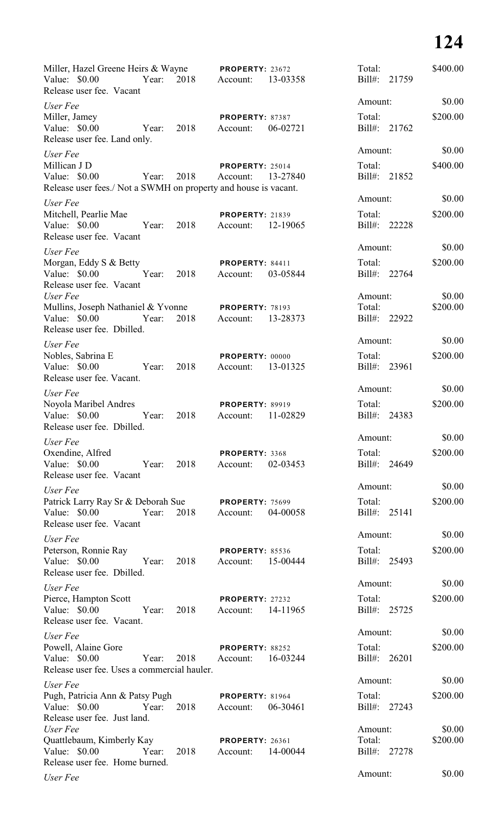| Miller, Hazel Greene Heirs & Wayne<br>Value: $$0.00$<br>Year:<br>Release user fee. Vacant  | 2018 | PROPERTY: 23672<br>Account:        | 13-03358 | Total:<br>$Bill#$ :    | 21759 | \$400.00           |
|--------------------------------------------------------------------------------------------|------|------------------------------------|----------|------------------------|-------|--------------------|
| User Fee                                                                                   |      |                                    |          | Amount:                |       | \$0.00             |
| Miller, Jamey<br>Value: \$0.00<br>Year:                                                    | 2018 | <b>PROPERTY: 87387</b><br>Account: | 06-02721 | Total:<br>Bill#: 21762 |       | \$200.00           |
| Release user fee. Land only.                                                               |      |                                    |          | Amount:                |       | \$0.00             |
| User Fee<br>Millican J D                                                                   |      | PROPERTY: 25014                    |          | Total:                 |       | \$400.00           |
| Value: \$0.00<br>Year:<br>Release user fees./ Not a SWMH on property and house is vacant.  | 2018 | Account:                           | 13-27840 | Bill#: 21852           |       |                    |
| User Fee                                                                                   |      |                                    |          | Amount:                |       | \$0.00             |
| Mitchell, Pearlie Mae<br>Value: \$0.00<br>Year:<br>Release user fee. Vacant                | 2018 | <b>PROPERTY: 21839</b><br>Account: | 12-19065 | Total:<br>Bill#: 22228 |       | \$200.00           |
| User Fee                                                                                   |      |                                    |          | Amount:                |       | \$0.00             |
| Morgan, Eddy S & Betty<br>Value: $$0.00$<br>Year:<br>Release user fee. Vacant              | 2018 | PROPERTY: 84411<br>Account:        | 03-05844 | Total:<br>Bill#:       | 22764 | \$200.00           |
| User Fee                                                                                   |      |                                    |          | Amount:                |       | \$0.00             |
| Mullins, Joseph Nathaniel & Yvonne<br>Value: \$0.00<br>Year:<br>Release user fee. Dbilled. | 2018 | <b>PROPERTY: 78193</b><br>Account: | 13-28373 | Total:<br>Bill#: 22922 |       | \$200.00           |
| User Fee                                                                                   |      |                                    |          | Amount:                |       | \$0.00             |
| Nobles, Sabrina E                                                                          |      | <b>PROPERTY: 00000</b>             |          | Total:                 |       | \$200.00           |
| Value: \$0.00<br>Year:<br>Release user fee. Vacant.                                        | 2018 | Account:                           | 13-01325 | Bill#: 23961           |       |                    |
| User Fee                                                                                   |      |                                    |          | Amount:                |       | \$0.00             |
| Noyola Maribel Andres<br>Value: \$0.00<br>Year:<br>Release user fee. Dbilled.              | 2018 | <b>PROPERTY: 89919</b><br>Account: | 11-02829 | Total:<br>Bill#:       | 24383 | \$200.00           |
| User Fee                                                                                   |      |                                    |          | Amount:                |       | \$0.00             |
| Oxendine, Alfred<br>Value: \$0.00<br>Year:<br>Release user fee. Vacant                     | 2018 | PROPERTY: 3368<br>Account:         | 02-03453 | Total:<br>Bill#: 24649 |       | \$200.00           |
| User Fee                                                                                   |      |                                    |          | Amount:                |       | \$0.00             |
| Patrick Larry Ray Sr & Deborah Sue<br>Value: \$0.00 Year:<br>Release user fee. Vacant      | 2018 | <b>PROPERTY: 75699</b><br>Account: | 04-00058 | Total:<br>Bill#: 25141 |       | \$200.00           |
| User Fee                                                                                   |      |                                    |          | Amount:                |       | \$0.00             |
| Peterson, Ronnie Ray<br>Value: \$0.00<br>Year:<br>Release user fee. Dbilled.               | 2018 | <b>PROPERTY: 85536</b><br>Account: | 15-00444 | Total:<br>Bill#: 25493 |       | \$200.00           |
| User Fee                                                                                   |      |                                    |          | Amount:                |       | \$0.00             |
| Pierce, Hampton Scott<br>Value: $$0.00$<br>Year:                                           | 2018 | PROPERTY: 27232<br>Account:        | 14-11965 | Total:<br>Bill#: 25725 |       | \$200.00           |
| Release user fee. Vacant.                                                                  |      |                                    |          | Amount:                |       | \$0.00             |
| User Fee<br>Powell, Alaine Gore                                                            |      | PROPERTY: 88252                    |          | Total:                 |       | \$200.00           |
| Value: $$0.00$<br>Year:                                                                    | 2018 | Account:                           | 16-03244 | Bill#: 26201           |       |                    |
| Release user fee. Uses a commercial hauler.                                                |      |                                    |          |                        |       |                    |
| User Fee                                                                                   |      |                                    |          | Amount:                |       | \$0.00             |
| Pugh, Patricia Ann & Patsy Pugh<br>Value: \$0.00<br>Year:<br>Release user fee. Just land.  | 2018 | PROPERTY: 81964<br>Account:        | 06-30461 | Total:<br>Bill#: 27243 |       | \$200.00           |
| User Fee<br>Quattlebaum, Kimberly Kay                                                      |      | <b>PROPERTY: 26361</b>             |          | Amount:<br>Total:      |       | \$0.00<br>\$200.00 |
| Value: $$0.00$<br>Year:<br>Release user fee. Home burned.                                  | 2018 | Account:                           | 14-00044 | Bill#: 27278           |       |                    |
| User Fee                                                                                   |      |                                    |          | Amount:                |       | \$0.00             |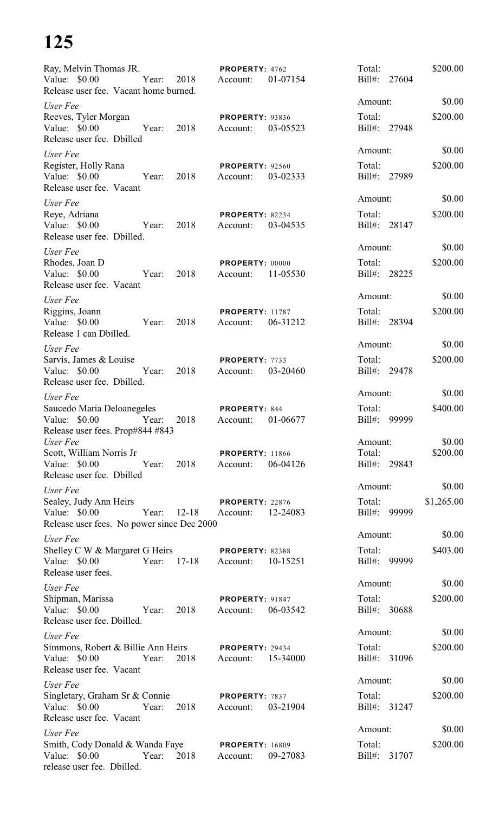| Ray, Melvin Thomas JR.<br>Value: $$0.00$                                              | Year: | 2018      | PROPERTY: 4762<br>Account:         | 01-07154 | Total:                 | Bill#: 27604 | \$200.00   |
|---------------------------------------------------------------------------------------|-------|-----------|------------------------------------|----------|------------------------|--------------|------------|
| Release user fee. Vacant home burned.                                                 |       |           |                                    |          |                        |              |            |
| User Fee                                                                              |       |           |                                    |          | Amount:                |              | \$0.00     |
| Reeves, Tyler Morgan<br>Value: \$0.00<br>Release user fee. Dbilled                    | Year: | 2018      | <b>PROPERTY: 93836</b><br>Account: | 03-05523 | Total:                 | Bill#: 27948 | \$200.00   |
| User Fee                                                                              |       |           |                                    |          | Amount:                |              | \$0.00     |
| Register, Holly Rana<br>Value: \$0.00<br>Release user fee. Vacant                     | Year: | 2018      | <b>PROPERTY: 92560</b><br>Account: | 03-02333 | Total:                 | Bill#: 27989 | \$200.00   |
| User Fee                                                                              |       |           |                                    |          | Amount:                |              | \$0.00     |
| Reye, Adriana<br>Value: $$0.00$<br>Release user fee. Dbilled.                         | Year: | 2018      | PROPERTY: 82234<br>Account:        | 03-04535 | Total:                 | Bill#: 28147 | \$200.00   |
| User Fee                                                                              |       |           |                                    |          | Amount:                |              | \$0.00     |
| Rhodes, Joan D<br>Value: \$0.00<br>Release user fee. Vacant                           | Year: | 2018      | PROPERTY: 00000<br>Account:        | 11-05530 | Total:                 | Bill#: 28225 | \$200.00   |
| User Fee                                                                              |       |           |                                    |          | Amount:                |              | \$0.00     |
| Riggins, Joann<br>Value: $$0.00$<br>Release 1 can Dbilled.                            | Year: | 2018      | <b>PROPERTY: 11787</b><br>Account: | 06-31212 | Total:                 | Bill#: 28394 | \$200.00   |
| User Fee                                                                              |       |           |                                    |          | Amount:                |              | \$0.00     |
| Sarvis, James & Louise<br>Value: \$0.00<br>Release user fee. Dbilled.                 | Year: | 2018      | PROPERTY: 7733<br>Account:         | 03-20460 | Total:                 | Bill#: 29478 | \$200.00   |
| User Fee                                                                              |       |           |                                    |          | Amount:                |              | \$0.00     |
| Saucedo Maria Deloanegeles<br>Value: \$0.00 Year:<br>Release user fees. Prop#844 #843 |       | 2018      | PROPERTY: 844<br>Account:          | 01-06677 | Total:<br>Bill#:       | 99999        | \$400.00   |
| User Fee                                                                              |       |           |                                    |          | Amount:                |              | \$0.00     |
| Scott, William Norris Jr<br>Value: \$0.00<br>Release user fee. Dbilled                | Year: | 2018      | <b>PROPERTY: 11866</b><br>Account: | 06-04126 | Total:<br>$Bill#$ :    | 29843        | \$200.00   |
| User Fee                                                                              |       |           |                                    |          | Amount:                |              | \$0.00     |
| Sealey, Judy Ann Heirs<br>Value: \$0.00<br>Release user fees. No power since Dec 2000 | Year: | $12 - 18$ | PROPERTY: 22876<br>Account:        | 12-24083 | Total:<br>$Bill#$ :    | 99999        | \$1,265.00 |
| User Fee                                                                              |       |           |                                    |          | Amount:                |              | \$0.00     |
| Shelley C W & Margaret G Heirs<br>Value: \$0.00<br>Release user fees.                 | Year: | $17 - 18$ | PROPERTY: 82388<br>Account:        | 10-15251 | Total:<br>$Bill#$ :    | 99999        | \$403.00   |
| User Fee                                                                              |       |           |                                    |          | Amount:                |              | \$0.00     |
| Shipman, Marissa<br>Value: \$0.00<br>Release user fee. Dbilled.                       | Year: | 2018      | <b>PROPERTY: 91847</b><br>Account: | 06-03542 | Total:                 | Bill#: 30688 | \$200.00   |
| User Fee                                                                              |       |           |                                    |          | Amount:                |              | \$0.00     |
| Simmons, Robert & Billie Ann Heirs<br>Value: \$0.00<br>Release user fee. Vacant       | Year: | 2018      | PROPERTY: 29434<br>Account:        | 15-34000 | Total:                 | Bill#: 31096 | \$200.00   |
| User Fee                                                                              |       |           |                                    |          | Amount:                |              | \$0.00     |
| Singletary, Graham Sr & Connie<br>Value: \$0.00<br>Release user fee. Vacant           | Year: | 2018      | PROPERTY: 7837<br>Account:         | 03-21904 | Total:<br>Bill#: 31247 |              | \$200.00   |
| User Fee                                                                              |       |           |                                    |          | Amount:                |              | \$0.00     |
| Smith, Cody Donald & Wanda Faye<br>Value: \$0.00<br>release user fee. Dbilled.        | Year: | 2018      | <b>PROPERTY: 16809</b><br>Account: | 09-27083 | Total:<br>$Bill#$ :    | 31707        | \$200.00   |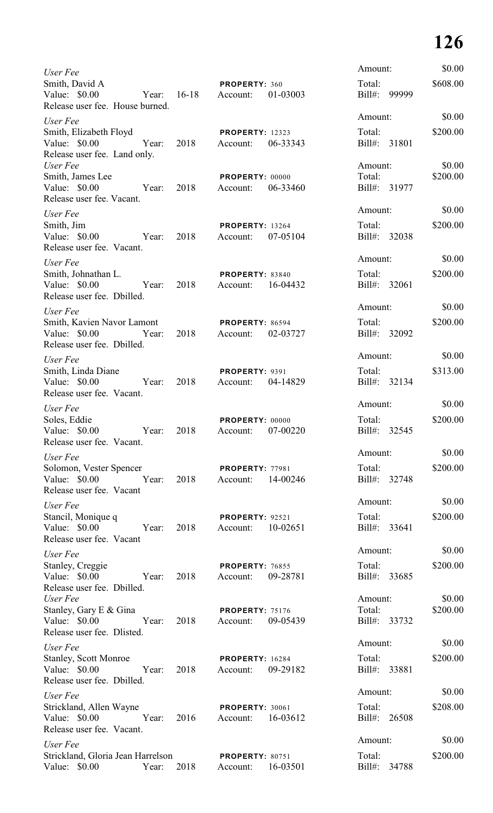| User Fee                                                                                         |         |                                             |          | Amount:                                 | \$0.00             |
|--------------------------------------------------------------------------------------------------|---------|---------------------------------------------|----------|-----------------------------------------|--------------------|
| Smith, David A<br>Value: \$0.00<br>Year:<br>Release user fee. House burned.                      | $16-18$ | PROPERTY: 360<br>Account:                   | 01-03003 | Total:<br>Bill#:<br>99999               | \$608.00           |
| User Fee<br>Smith, Elizabeth Floyd<br>Value: \$0.00<br>Year:<br>Release user fee. Land only.     | 2018    | <b>PROPERTY: 12323</b><br>Account:          | 06-33343 | Amount:<br>Total:<br>$Bill#$ :<br>31801 | \$0.00<br>\$200.00 |
| User Fee<br>Smith, James Lee<br>Value: \$0.00<br>Year:<br>Release user fee. Vacant.              | 2018    | PROPERTY: 00000<br>Account:                 | 06-33460 | Amount:<br>Total:<br>Bill#:<br>31977    | \$0.00<br>\$200.00 |
| User Fee<br>Smith, Jim<br>Value: \$0.00<br>Year:<br>Release user fee. Vacant.                    | 2018    | <b>PROPERTY: 13264</b><br>Account:          | 07-05104 | Amount:<br>Total:<br>Bill#:<br>32038    | \$0.00<br>\$200.00 |
| User Fee<br>Smith, Johnathan L.<br>Value: \$0.00<br>Year:<br>Release user fee. Dbilled.          | 2018    | PROPERTY: 83840<br>Account:                 | 16-04432 | Amount:<br>Total:<br>$Bill#$ :<br>32061 | \$0.00<br>\$200.00 |
| User Fee<br>Smith, Kavien Navor Lamont<br>Value: \$0.00<br>Year:<br>Release user fee. Dbilled.   | 2018    | PROPERTY: 86594<br>Account:                 | 02-03727 | Amount:<br>Total:<br>Bill#:<br>32092    | \$0.00<br>\$200.00 |
| User Fee<br>Smith, Linda Diane<br>Value: \$0.00<br>Year:<br>Release user fee. Vacant.            | 2018    | PROPERTY: 9391<br>Account:                  | 04-14829 | Amount:<br>Total:<br>Bill#:<br>32134    | \$0.00<br>\$313.00 |
| User Fee<br>Soles, Eddie<br>Value: \$0.00<br>Year:<br>Release user fee. Vacant.                  | 2018    | PROPERTY: 00000<br>Account:                 | 07-00220 | Amount:<br>Total:<br>Bill#: 32545       | \$0.00<br>\$200.00 |
| User Fee<br>Solomon, Vester Spencer<br>Value: \$0.00 Year:<br>Release user fee. Vacant           | 2018    | PROPERTY: 77981<br>Account:                 | 14-00246 | Amount:<br>Total:<br>Bill#: 32748       | \$0.00<br>\$200.00 |
| User Fee<br>Stancil, Monique q<br>Value: \$0.00 Year:<br>Release user fee. Vacant                | 2018    | <b>PROPERTY: 92521</b><br>Account:          | 10-02651 | Amount:<br>Total:<br>Bill#: 33641       | \$0.00<br>\$200.00 |
| User Fee<br>Stanley, Creggie<br>Value: \$0.00 Year:<br>Release user fee. Dbilled.                | 2018    | <b>PROPERTY: 76855</b><br>Account:          | 09-28781 | Amount:<br>Total:<br>Bill#: 33685       | \$0.00<br>\$200.00 |
| User Fee<br>Stanley, Gary E & Gina<br>Value: \$0.00<br>Year:<br>Release user fee. Dlisted.       | 2018    | <b>PROPERTY: 75176</b><br>Account:          | 09-05439 | Amount:<br>Total:<br>Bill#: 33732       | \$0.00<br>\$200.00 |
| User Fee<br><b>Stanley, Scott Monroe</b><br>Value: \$0.00<br>Year:<br>Release user fee. Dbilled. | 2018    | <b>PROPERTY: 16284</b><br>Account:          | 09-29182 | Amount:<br>Total:<br>Bill#: 33881       | \$0.00<br>\$200.00 |
| User Fee<br>Strickland, Allen Wayne<br>Value: \$0.00 Year:<br>Release user fee. Vacant.          | 2016    | <b>PROPERTY: 30061</b><br>Account: 16-03612 |          | Amount:<br>Total:<br>Bill#: 26508       | \$0.00<br>\$208.00 |
| User Fee<br>Strickland, Gloria Jean Harrelson PROPERTY: 80751<br>Value: \$0.00<br>Year:          | 2018    | Account:                                    | 16-03501 | Amount:<br>Total:<br>Bill#:<br>34788    | \$0.00<br>\$200.00 |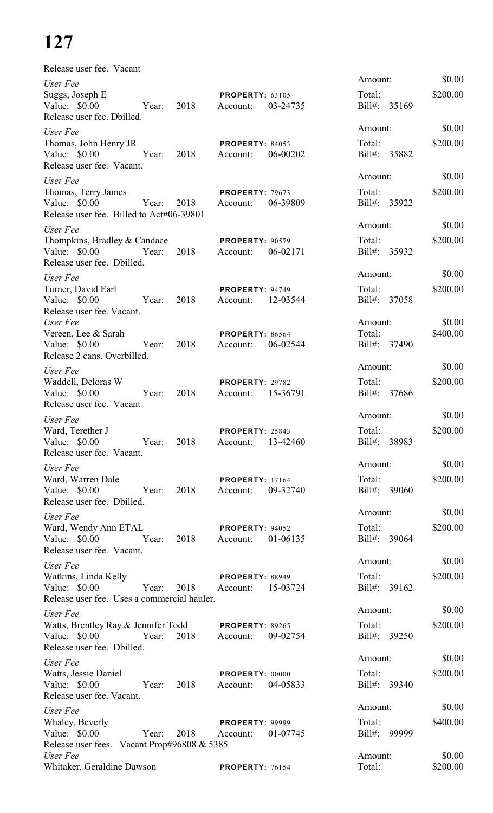| Release user fee. Vacant                                                                                         |                                                |                                   |                    |
|------------------------------------------------------------------------------------------------------------------|------------------------------------------------|-----------------------------------|--------------------|
| User Fee<br>Suggs, Joseph E<br>Value: \$0.00<br>2018<br>Year:<br>Release user fee. Dbilled.                      | <b>PROPERTY: 63105</b><br>03-24735<br>Account: | Amount:<br>Total:<br>Bill#: 35169 | \$0.00<br>\$200.00 |
| User Fee                                                                                                         |                                                | Amount:                           | \$0.00             |
| Thomas, John Henry JR<br>Year:<br>Value: \$0.00<br>2018<br>Release user fee. Vacant.                             | PROPERTY: 84053<br>06-00202<br>Account:        | Total:<br>Bill#: 35882            | \$200.00           |
| User Fee                                                                                                         |                                                | Amount:                           | \$0.00             |
| Thomas, Terry James<br>Value: $$0.00$<br>2018<br>Year:<br>Release user fee. Billed to Act#06-39801               | PROPERTY: 79673<br>06-39809<br>Account:        | Total:<br>Bill#: 35922            | \$200.00           |
| User Fee                                                                                                         |                                                | Amount:                           | \$0.00             |
| Thompkins, Bradley & Candace<br>Value: $$0.00$<br>2018<br>Year:<br>Release user fee. Dbilled.                    | <b>PROPERTY: 90579</b><br>06-02171<br>Account: | Total:<br>Bill#: 35932            | \$200.00           |
| User Fee                                                                                                         |                                                | Amount:                           | \$0.00             |
| Turner, David Earl<br>Value: \$0.00<br>Year:<br>2018<br>Release user fee. Vacant.                                | PROPERTY: 94749<br>12-03544<br>Account:        | Total:<br>Bill#: 37058            | \$200.00           |
| User Fee                                                                                                         |                                                | Amount:                           | \$0.00             |
| Vereen, Lee & Sarah<br>Value: \$0.00<br>2018<br>Year:<br>Release 2 cans. Overbilled.                             | PROPERTY: 86564<br>06-02544<br>Account:        | Total:<br>Bill#: 37490            | \$400.00           |
| User Fee                                                                                                         |                                                | Amount:                           | \$0.00             |
| Waddell, Deloras W<br>Value: $$0.00$<br>2018<br>Year:<br>Release user fee. Vacant                                | PROPERTY: 29782<br>15-36791<br>Account:        | Total:<br>Bill#: 37686            | \$200.00           |
| User Fee                                                                                                         |                                                | Amount:                           | \$0.00             |
| Ward, Terether J<br>2018<br>Value: $$0.00$<br>Year:<br>Release user fee. Vacant.                                 | PROPERTY: 25843<br>Account: 13-42460           | Total:<br>Bill#: 38983            | \$200.00           |
| User Fee                                                                                                         |                                                | Amount:                           | \$0.00             |
| Ward, Warren Dale<br>Value: \$0.00<br>2018<br>Year:<br>Release user fee. Dbilled.                                | <b>PROPERTY: 17164</b><br>09-32740<br>Account: | Total:<br>Bill#: 39060            | \$200.00           |
| User Fee                                                                                                         |                                                | Amount:                           | \$0.00             |
| Ward, Wendy Ann ETAL<br>Value: $$0.00$<br>Year:<br>2018<br>Release user fee. Vacant.                             | PROPERTY: 94052<br>01-06135<br>Account:        | Total:<br>Bill#: 39064            | \$200.00           |
| User Fee                                                                                                         |                                                | Amount:                           | \$0.00             |
| Watkins, Linda Kelly<br>Value: \$0.00<br>Year:<br>2018<br>Release user fee. Uses a commercial hauler.            | PROPERTY: 88949<br>15-03724<br>Account:        | Total:<br>Bill#: 39162            | \$200.00           |
| User Fee                                                                                                         |                                                | Amount:                           | \$0.00             |
| Watts, Brentley Ray & Jennifer Todd PROPERTY: 89265<br>Value: \$0.00 Year:<br>2018<br>Release user fee. Dbilled. | 09-02754<br>Account:                           | Total:<br>Bill#: 39250            | \$200.00           |
| User Fee                                                                                                         |                                                | Amount:                           | \$0.00             |
| Watts, Jessie Daniel<br>Value: \$0.00 Year:<br>2018<br>Release user fee. Vacant.                                 | PROPERTY: 00000<br>04-05833<br>Account:        | Total:<br>Bill#: 39340            | \$200.00           |
| User Fee                                                                                                         |                                                | Amount:                           | \$0.00             |
| Whaley, Beverly<br>Value: \$0.00 Year:<br>2018<br>Release user fees. Vacant Prop#96808 & 5385                    | <b>PROPERTY: 99999</b><br>Account:<br>01-07745 | Total:<br>Bill#: 99999            | \$400.00           |
| User Fee                                                                                                         |                                                | Amount:                           | \$0.00             |
| Whitaker, Geraldine Dawson                                                                                       | PROPERTY: 76154                                | Total:                            | \$200.00           |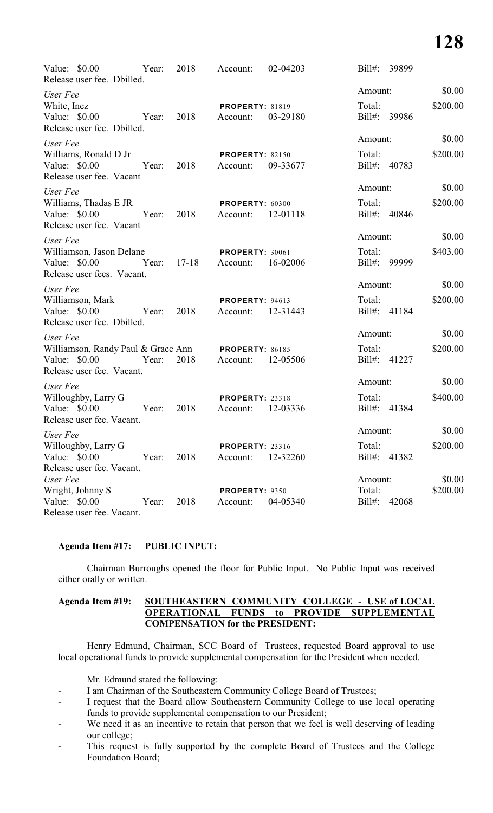| Value: \$0.00<br>Year:<br>Release user fee. Dbilled.                                                       | 2018 | Account:                           | 02-04203 | Bill#: 39899                      |                    |
|------------------------------------------------------------------------------------------------------------|------|------------------------------------|----------|-----------------------------------|--------------------|
| User Fee                                                                                                   |      |                                    |          | Amount:                           | \$0.00             |
| White, Inez<br>Value: $$0.00$<br>Year:<br>Release user fee. Dbilled.                                       | 2018 | <b>PROPERTY: 81819</b><br>Account: | 03-29180 | Total:<br>Bill#: 39986            | \$200.00           |
| User Fee                                                                                                   |      |                                    |          | Amount:                           | \$0.00             |
| Williams, Ronald D Jr<br>Value: $$0.00$<br>Year:<br>Release user fee. Vacant                               | 2018 | <b>PROPERTY: 82150</b><br>Account: | 09-33677 | Total:<br>Bill#: 40783            | \$200.00           |
| User Fee                                                                                                   |      |                                    |          | Amount:                           | \$0.00             |
| Williams, Thadas E JR<br>Value: $$0.00$<br>Year:<br>Release user fee. Vacant                               | 2018 | PROPERTY: 60300<br>Account:        | 12-01118 | Total:<br>Bill#: 40846            | \$200.00           |
| User Fee                                                                                                   |      |                                    |          | Amount:                           | \$0.00             |
| Williamson, Jason Delane<br>Value: $$0.00$<br>Year: 17-18<br>Release user fees. Vacant.                    |      | PROPERTY: 30061<br>Account:        | 16-02006 | Total:<br>$Bill#$ :<br>99999      | \$403.00           |
| User Fee                                                                                                   |      |                                    |          | Amount:                           | \$0.00             |
| Williamson, Mark<br>Value: $$0.00$<br>Year:<br>Release user fee. Dbilled.                                  | 2018 | <b>PROPERTY: 94613</b><br>Account: | 12-31443 | Total:<br>Bill#:<br>41184         | \$200.00           |
| User Fee                                                                                                   |      |                                    |          | Amount:                           | \$0.00             |
| Williamson, Randy Paul & Grace Ann PROPERTY: 86185<br>Value: $$0.00$<br>Year:<br>Release user fee. Vacant. | 2018 | Account:                           | 12-05506 | Total:<br>Bill#: 41227            | \$200.00           |
| User Fee                                                                                                   |      |                                    |          | Amount:                           | \$0.00             |
| Willoughby, Larry G<br>Value: \$0.00<br>Year:<br>Release user fee. Vacant.                                 | 2018 | <b>PROPERTY: 23318</b><br>Account: | 12-03336 | Total:<br>Bill#:<br>41384         | \$400.00           |
| User Fee                                                                                                   |      |                                    |          | Amount:                           | \$0.00             |
| Willoughby, Larry G<br>Value: $$0.00$<br>Year:<br>Release user fee. Vacant.                                | 2018 | <b>PROPERTY: 23316</b><br>Account: | 12-32260 | Total:<br>Bill#: 41382            | \$200.00           |
| User Fee<br>Wright, Johnny S<br>Value: \$0.00<br>Year:<br>Release user fee. Vacant.                        | 2018 | PROPERTY: 9350<br>Account:         | 04-05340 | Amount:<br>Total:<br>Bill#: 42068 | \$0.00<br>\$200.00 |

### **Agenda Item #17: PUBLIC INPUT:**

Chairman Burroughs opened the floor for Public Input. No Public Input was received either orally or written.

#### **Agenda Item #19: SOUTHEASTERN COMMUNITY COLLEGE - USE of LOCAL OPERATIONAL FUNDS to PROVIDE SUPPLEMENTAL COMPENSATION for the PRESIDENT:**

Henry Edmund, Chairman, SCC Board of Trustees, requested Board approval to use local operational funds to provide supplemental compensation for the President when needed.

Mr. Edmund stated the following:

- I am Chairman of the Southeastern Community College Board of Trustees;
- I request that the Board allow Southeastern Community College to use local operating funds to provide supplemental compensation to our President;
- We need it as an incentive to retain that person that we feel is well deserving of leading our college;
- This request is fully supported by the complete Board of Trustees and the College Foundation Board;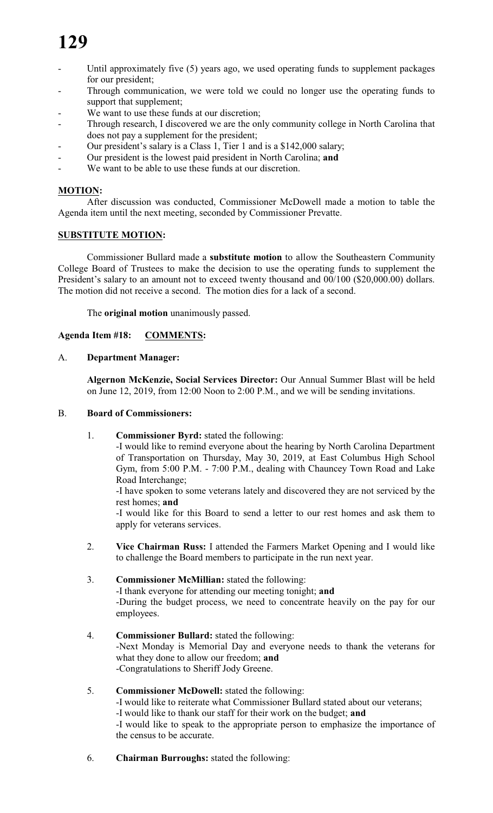- Until approximately five (5) years ago, we used operating funds to supplement packages for our president:
- Through communication, we were told we could no longer use the operating funds to support that supplement;
- We want to use these funds at our discretion;
- Through research, I discovered we are the only community college in North Carolina that does not pay a supplement for the president;
- Our president's salary is a Class 1, Tier 1 and is a \$142,000 salary;
- Our president is the lowest paid president in North Carolina; **and**
- We want to be able to use these funds at our discretion.

# **MOTION:**

After discussion was conducted, Commissioner McDowell made a motion to table the Agenda item until the next meeting, seconded by Commissioner Prevatte.

### **SUBSTITUTE MOTION:**

Commissioner Bullard made a **substitute motion** to allow the Southeastern Community College Board of Trustees to make the decision to use the operating funds to supplement the President's salary to an amount not to exceed twenty thousand and  $00/100$  (\$20,000.00) dollars. The motion did not receive a second. The motion dies for a lack of a second.

The **original motion** unanimously passed.

## **Agenda Item #18: COMMENTS:**

## A. **Department Manager:**

**Algernon McKenzie, Social Services Director:** Our Annual Summer Blast will be held on June 12, 2019, from 12:00 Noon to 2:00 P.M., and we will be sending invitations.

### B. **Board of Commissioners:**

1. **Commissioner Byrd:** stated the following:

-I would like to remind everyone about the hearing by North Carolina Department of Transportation on Thursday, May 30, 2019, at East Columbus High School Gym, from 5:00 P.M. - 7:00 P.M., dealing with Chauncey Town Road and Lake Road Interchange;

-I have spoken to some veterans lately and discovered they are not serviced by the rest homes; **and**

-I would like for this Board to send a letter to our rest homes and ask them to apply for veterans services.

2. **Vice Chairman Russ:** I attended the Farmers Market Opening and I would like to challenge the Board members to participate in the run next year.

# 3. **Commissioner McMillian:** stated the following:

-I thank everyone for attending our meeting tonight; **and** -During the budget process, we need to concentrate heavily on the pay for our employees.

4. **Commissioner Bullard:** stated the following:

-Next Monday is Memorial Day and everyone needs to thank the veterans for what they done to allow our freedom; **and** -Congratulations to Sheriff Jody Greene.

- 5. **Commissioner McDowell:** stated the following: -I would like to reiterate what Commissioner Bullard stated about our veterans; -I would like to thank our staff for their work on the budget; **and** -I would like to speak to the appropriate person to emphasize the importance of the census to be accurate.
- 6. **Chairman Burroughs:** stated the following: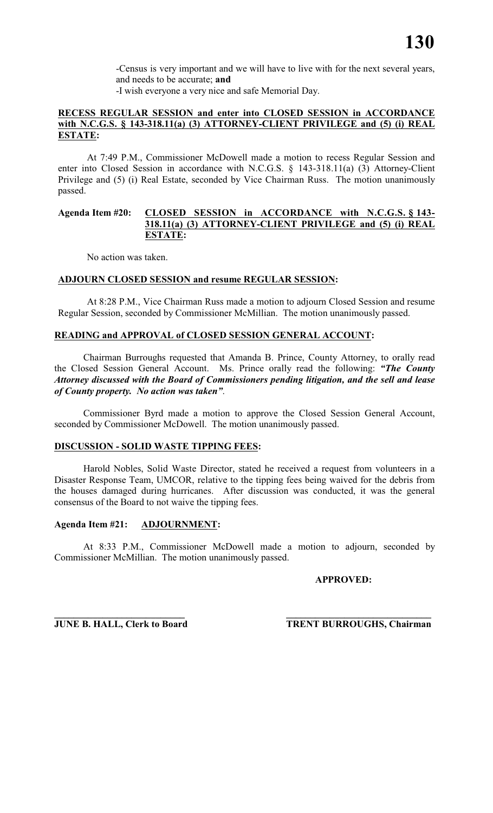-Census is very important and we will have to live with for the next several years, and needs to be accurate; **and** -I wish everyone a very nice and safe Memorial Day.

### **RECESS REGULAR SESSION and enter into CLOSED SESSION in ACCORDANCE with N.C.G.S. § 143-318.11(a) (3) ATTORNEY-CLIENT PRIVILEGE and (5) (i) REAL ESTATE:**

At 7:49 P.M., Commissioner McDowell made a motion to recess Regular Session and enter into Closed Session in accordance with N.C.G.S. § 143-318.11(a) (3) Attorney-Client Privilege and (5) (i) Real Estate, seconded by Vice Chairman Russ. The motion unanimously passed.

#### **Agenda Item #20: CLOSED SESSION in ACCORDANCE with N.C.G.S. § 143- 318.11(a) (3) ATTORNEY-CLIENT PRIVILEGE and (5) (i) REAL ESTATE:**

No action was taken.

## **ADJOURN CLOSED SESSION and resume REGULAR SESSION:**

At 8:28 P.M., Vice Chairman Russ made a motion to adjourn Closed Session and resume Regular Session, seconded by Commissioner McMillian. The motion unanimously passed.

## **READING and APPROVAL of CLOSED SESSION GENERAL ACCOUNT:**

Chairman Burroughs requested that Amanda B. Prince, County Attorney, to orally read the Closed Session General Account. Ms. Prince orally read the following: *"The County Attorney discussed with the Board of Commissioners pending litigation, and the sell and lease of County property. No action was taken"*.

Commissioner Byrd made a motion to approve the Closed Session General Account, seconded by Commissioner McDowell. The motion unanimously passed.

## **DISCUSSION - SOLID WASTE TIPPING FEES:**

Harold Nobles, Solid Waste Director, stated he received a request from volunteers in a Disaster Response Team, UMCOR, relative to the tipping fees being waived for the debris from the houses damaged during hurricanes. After discussion was conducted, it was the general consensus of the Board to not waive the tipping fees.

# **Agenda Item #21: ADJOURNMENT:**

At 8:33 P.M., Commissioner McDowell made a motion to adjourn, seconded by Commissioner McMillian. The motion unanimously passed.

### **APPROVED:**

**\_\_\_\_\_\_\_\_\_\_\_\_\_\_\_\_\_\_\_\_\_\_\_\_\_\_\_ \_\_\_\_\_\_\_\_\_\_\_\_\_\_\_\_\_\_\_\_\_\_\_\_\_\_\_\_\_\_ JUNE B. HALL, Clerk to Board TRENT BURROUGHS, Chairman**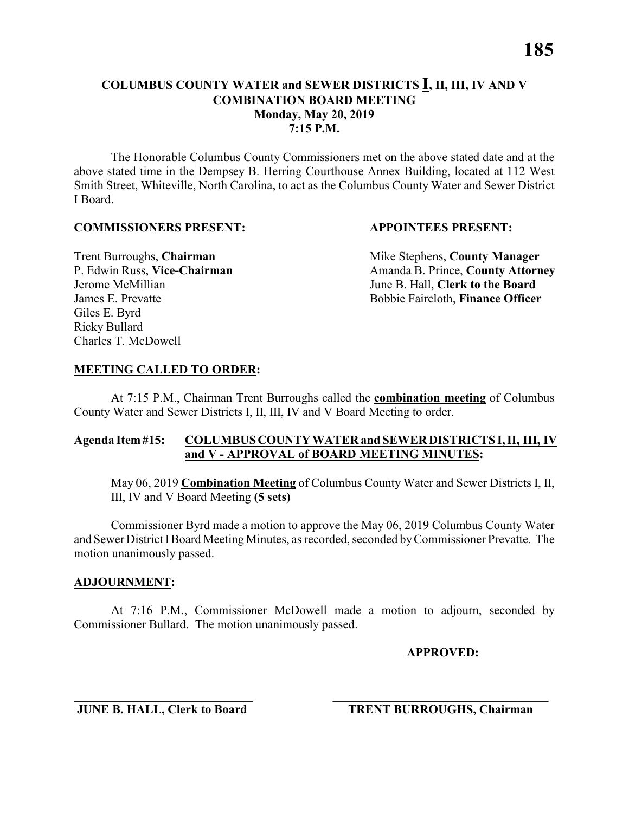**Monday, May 20, 2019 7:15 P.M.**

The Honorable Columbus County Commissioners met on the above stated date and at the above stated time in the Dempsey B. Herring Courthouse Annex Building, located at 112 West Smith Street, Whiteville, North Carolina, to act as the Columbus County Water and Sewer District I Board.

#### **COMMISSIONERS PRESENT: APPOINTEES PRESENT:**

Giles E. Byrd Ricky Bullard Charles T. McDowell

**Trent Burroughs, Chairman** Mike Stephens, **County Manager** P. Edwin Russ, Vice-Chairman Amanda B. Prince, County Attorney Jerome McMillian June B. Hall, **Clerk to the Board** James E. Prevatte Bobbie Faircloth, **Finance Officer**

#### **MEETING CALLED TO ORDER:**

At 7:15 P.M., Chairman Trent Burroughs called the **combination meeting** of Columbus County Water and Sewer Districts I, II, III, IV and V Board Meeting to order.

#### **Agenda Item #15: COLUMBUS COUNTY WATER and SEWER DISTRICTS I, II, III, IV and V - APPROVAL of BOARD MEETING MINUTES:**

May 06, 2019 **Combination Meeting** of Columbus County Water and Sewer Districts I, II, III, IV and V Board Meeting **(5 sets)**

Commissioner Byrd made a motion to approve the May 06, 2019 Columbus County Water and Sewer District IBoard Meeting Minutes, as recorded, seconded by Commissioner Prevatte. The motion unanimously passed.

#### **ADJOURNMENT:**

At 7:16 P.M., Commissioner McDowell made a motion to adjourn, seconded by Commissioner Bullard. The motion unanimously passed.

\_\_\_\_\_\_\_\_\_\_\_\_\_\_\_\_\_\_\_\_\_\_\_\_\_\_\_\_\_ \_\_\_\_\_\_\_\_\_\_\_\_\_\_\_\_\_\_\_\_\_\_\_\_\_\_\_\_\_\_\_\_\_\_\_

**APPROVED:**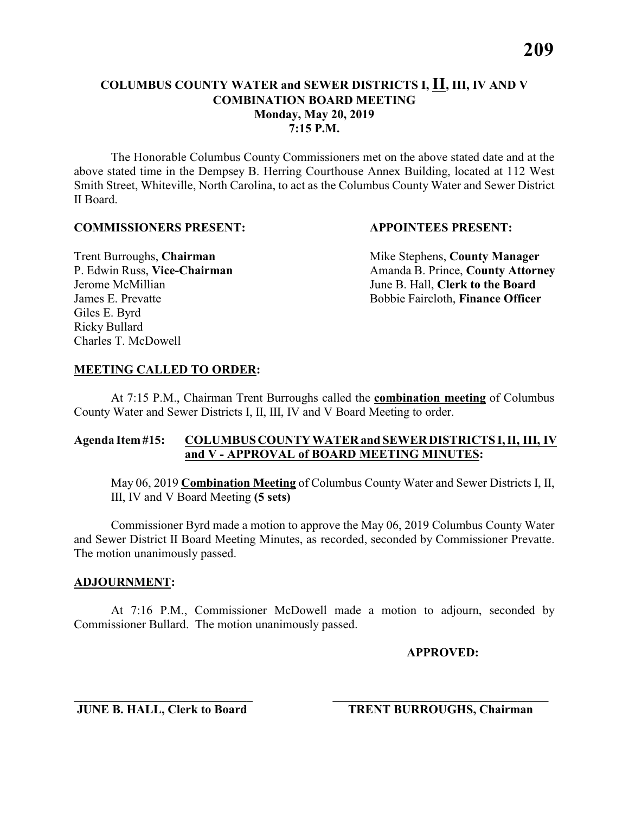The Honorable Columbus County Commissioners met on the above stated date and at the above stated time in the Dempsey B. Herring Courthouse Annex Building, located at 112 West Smith Street, Whiteville, North Carolina, to act as the Columbus County Water and Sewer District II Board.

#### **COMMISSIONERS PRESENT: APPOINTEES PRESENT:**

Giles E. Byrd Ricky Bullard Charles T. McDowell

**Trent Burroughs, Chairman** Mike Stephens, **County Manager** P. Edwin Russ, Vice-Chairman Amanda B. Prince, County Attorney Jerome McMillian June B. Hall, **Clerk to the Board** James E. Prevatte Bobbie Faircloth, **Finance Officer**

#### **MEETING CALLED TO ORDER:**

At 7:15 P.M., Chairman Trent Burroughs called the **combination meeting** of Columbus County Water and Sewer Districts I, II, III, IV and V Board Meeting to order.

#### **Agenda Item #15: COLUMBUS COUNTY WATER and SEWER DISTRICTS I, II, III, IV and V - APPROVAL of BOARD MEETING MINUTES:**

May 06, 2019 **Combination Meeting** of Columbus County Water and Sewer Districts I, II, III, IV and V Board Meeting **(5 sets)**

Commissioner Byrd made a motion to approve the May 06, 2019 Columbus County Water and Sewer District II Board Meeting Minutes, as recorded, seconded by Commissioner Prevatte. The motion unanimously passed.

#### **ADJOURNMENT:**

At 7:16 P.M., Commissioner McDowell made a motion to adjourn, seconded by Commissioner Bullard. The motion unanimously passed.

\_\_\_\_\_\_\_\_\_\_\_\_\_\_\_\_\_\_\_\_\_\_\_\_\_\_\_\_\_ \_\_\_\_\_\_\_\_\_\_\_\_\_\_\_\_\_\_\_\_\_\_\_\_\_\_\_\_\_\_\_\_\_\_\_

**APPROVED:**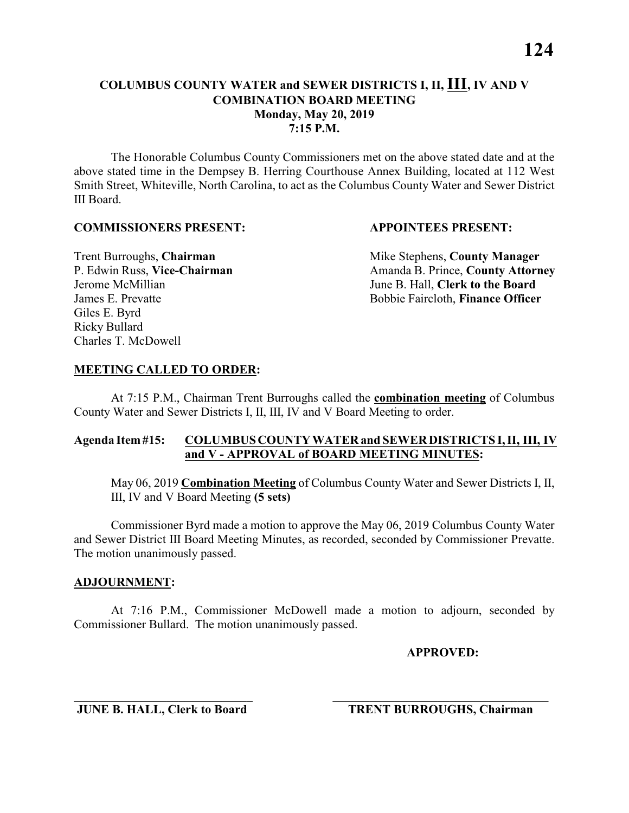### **COLUMBUS COUNTY WATER and SEWER DISTRICTS I, II, III, IV AND V COMBINATION BOARD MEETING Monday, May 20, 2019 7:15 P.M.**

The Honorable Columbus County Commissioners met on the above stated date and at the above stated time in the Dempsey B. Herring Courthouse Annex Building, located at 112 West Smith Street, Whiteville, North Carolina, to act as the Columbus County Water and Sewer District III Board.

#### **COMMISSIONERS PRESENT: APPOINTEES PRESENT:**

Giles E. Byrd Ricky Bullard Charles T. McDowell

**Trent Burroughs, Chairman** Mike Stephens, **County Manager** P. Edwin Russ, Vice-Chairman Amanda B. Prince, County Attorney Jerome McMillian June B. Hall, **Clerk to the Board** James E. Prevatte Bobbie Faircloth, **Finance Officer**

#### **MEETING CALLED TO ORDER:**

At 7:15 P.M., Chairman Trent Burroughs called the **combination meeting** of Columbus County Water and Sewer Districts I, II, III, IV and V Board Meeting to order.

#### **Agenda Item #15: COLUMBUS COUNTY WATER and SEWER DISTRICTS I, II, III, IV and V - APPROVAL of BOARD MEETING MINUTES:**

May 06, 2019 **Combination Meeting** of Columbus County Water and Sewer Districts I, II, III, IV and V Board Meeting **(5 sets)**

Commissioner Byrd made a motion to approve the May 06, 2019 Columbus County Water and Sewer District III Board Meeting Minutes, as recorded, seconded by Commissioner Prevatte. The motion unanimously passed.

#### **ADJOURNMENT:**

At 7:16 P.M., Commissioner McDowell made a motion to adjourn, seconded by Commissioner Bullard. The motion unanimously passed.

\_\_\_\_\_\_\_\_\_\_\_\_\_\_\_\_\_\_\_\_\_\_\_\_\_\_\_\_\_ \_\_\_\_\_\_\_\_\_\_\_\_\_\_\_\_\_\_\_\_\_\_\_\_\_\_\_\_\_\_\_\_\_\_\_

**APPROVED:**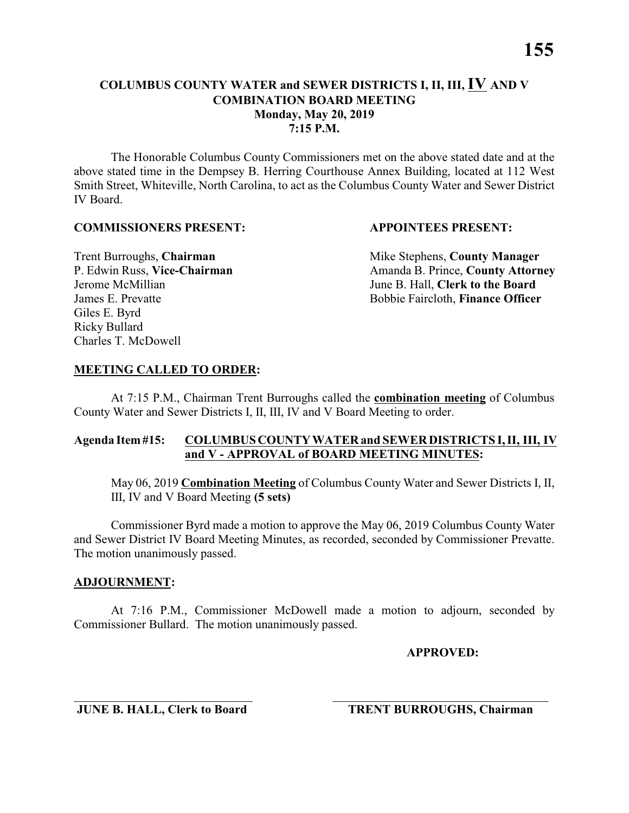#### **COLUMBUS COUNTY WATER and SEWER DISTRICTS I, II, III, IV AND V COMBINATION BOARD MEETING Monday, May 20, 2019 7:15 P.M.**

The Honorable Columbus County Commissioners met on the above stated date and at the above stated time in the Dempsey B. Herring Courthouse Annex Building, located at 112 West Smith Street, Whiteville, North Carolina, to act as the Columbus County Water and Sewer District IV Board.

#### **COMMISSIONERS PRESENT: APPOINTEES PRESENT:**

Giles E. Byrd Ricky Bullard Charles T. McDowell

**Trent Burroughs, Chairman** Mike Stephens, **County Manager** P. Edwin Russ, Vice-Chairman Amanda B. Prince, County Attorney Jerome McMillian June B. Hall, **Clerk to the Board** James E. Prevatte Bobbie Faircloth, **Finance Officer**

#### **MEETING CALLED TO ORDER:**

At 7:15 P.M., Chairman Trent Burroughs called the **combination meeting** of Columbus County Water and Sewer Districts I, II, III, IV and V Board Meeting to order.

#### **Agenda Item #15: COLUMBUS COUNTY WATER and SEWER DISTRICTS I, II, III, IV and V - APPROVAL of BOARD MEETING MINUTES:**

May 06, 2019 **Combination Meeting** of Columbus County Water and Sewer Districts I, II, III, IV and V Board Meeting **(5 sets)**

Commissioner Byrd made a motion to approve the May 06, 2019 Columbus County Water and Sewer District IV Board Meeting Minutes, as recorded, seconded by Commissioner Prevatte. The motion unanimously passed.

#### **ADJOURNMENT:**

At 7:16 P.M., Commissioner McDowell made a motion to adjourn, seconded by Commissioner Bullard. The motion unanimously passed.

\_\_\_\_\_\_\_\_\_\_\_\_\_\_\_\_\_\_\_\_\_\_\_\_\_\_\_\_\_ \_\_\_\_\_\_\_\_\_\_\_\_\_\_\_\_\_\_\_\_\_\_\_\_\_\_\_\_\_\_\_\_\_\_\_

**APPROVED:**